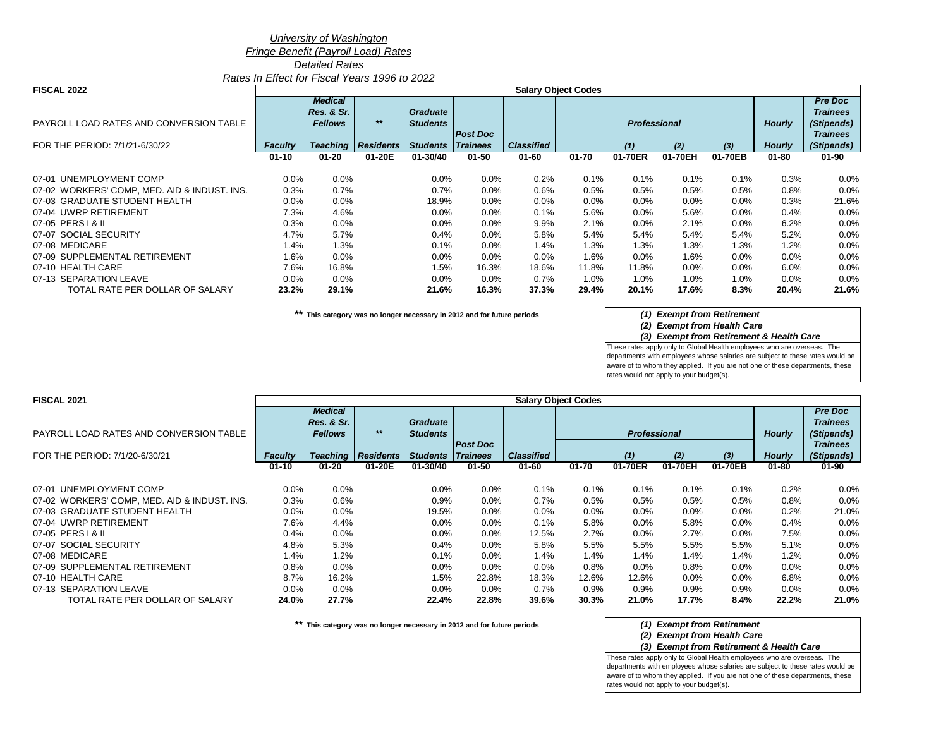### *University of Washington*

### *Fringe Benefit (Payroll Load) Rates*

*Detailed Rates*

*Rates In Effect for Fiscal Years 1996 to 2022*

|  | <b>FISCAL 2022</b> |
|--|--------------------|
|--|--------------------|

| <b>FISCAL 2022</b>                           |                |                              |                  |                 |                                     |                   | <b>Salary Object Codes</b> |                     |         |         |               |                                   |
|----------------------------------------------|----------------|------------------------------|------------------|-----------------|-------------------------------------|-------------------|----------------------------|---------------------|---------|---------|---------------|-----------------------------------|
|                                              |                | <b>Medical</b><br>Res. & Sr. |                  | <b>Graduate</b> |                                     |                   |                            |                     |         |         |               | <b>Pre Doc</b><br><b>Trainees</b> |
| PAYROLL LOAD RATES AND CONVERSION TABLE      |                | <b>Fellows</b>               | $***$            | <b>Students</b> |                                     |                   |                            | <b>Professional</b> |         |         | <b>Hourly</b> | (Stipends)                        |
| FOR THE PERIOD: 7/1/21-6/30/22               | <b>Faculty</b> | <b>Teaching</b>              | <b>Residents</b> | <b>Students</b> | <b>Post Doc</b><br>$\vert$ Trainees | <b>Classified</b> |                            | (1)                 | (2)     | $(3)$   | <b>Hourly</b> | <b>Trainees</b><br>(Stipends)     |
|                                              | $01 - 10$      | $01 - 20$                    | 01-20E           | 01-30/40        | $01 - 50$                           | $01 - 60$         | $01 - 70$                  | 01-70ER             | 01-70EH | 01-70EB | $01 - 80$     | $01 - 90$                         |
| 07-01 UNEMPLOYMENT COMP                      | 0.0%           | $0.0\%$                      |                  | $0.0\%$         | $0.0\%$                             | 0.2%              | 0.1%                       | 0.1%                | 0.1%    | 0.1%    | 0.3%          | $0.0\%$                           |
| 07-02 WORKERS' COMP, MED. AID & INDUST. INS. | 0.3%           | 0.7%                         |                  | 0.7%            | $0.0\%$                             | 0.6%              | 0.5%                       | 0.5%                | $0.5\%$ | 0.5%    | 0.8%          | 0.0%                              |
| 07-03 GRADUATE STUDENT HEALTH                | $0.0\%$        | $0.0\%$                      |                  | 18.9%           | $0.0\%$                             | 0.0%              | $0.0\%$                    | $0.0\%$             | $0.0\%$ | $0.0\%$ | 0.3%          | 21.6%                             |
| 07-04 UWRP RETIREMENT                        | 7.3%           | 4.6%                         |                  | $0.0\%$         | $0.0\%$                             | 0.1%              | 5.6%                       | $0.0\%$             | 5.6%    | $0.0\%$ | $0.4\%$       | 0.0%                              |
| 07-05 PERS   & II                            | 0.3%           | $0.0\%$                      |                  | $0.0\%$         | 0.0%                                | 9.9%              | 2.1%                       | $0.0\%$             | 2.1%    | $0.0\%$ | 6.2%          | 0.0%                              |
| 07-07 SOCIAL SECURITY                        | 4.7%           | 5.7%                         |                  | 0.4%            | 0.0%                                | 5.8%              | 5.4%                       | 5.4%                | 5.4%    | 5.4%    | 5.2%          | $0.0\%$                           |
| 07-08 MEDICARE                               | 1.4%           | 1.3%                         |                  | 0.1%            | $0.0\%$                             | 1.4%              | 1.3%                       | 1.3%                | $1.3\%$ | 1.3%    | 1.2%          | 0.0%                              |
| 07-09 SUPPLEMENTAL RETIREMENT                | 1.6%           | $0.0\%$                      |                  | $0.0\%$         | 0.0%                                | 0.0%              | 1.6%                       | $0.0\%$             | 1.6%    | $0.0\%$ | $0.0\%$       | $0.0\%$                           |
| 07-10 HEALTH CARE                            | 7.6%           | 16.8%                        |                  | 1.5%            | 16.3%                               | 18.6%             | 11.8%                      | 11.8%               | $0.0\%$ | $0.0\%$ | $6.0\%$       | 0.0%                              |
| 07-13 SEPARATION LEAVE                       | $0.0\%$        | $0.0\%$                      |                  | $0.0\%$         | $0.0\%$                             | 0.7%              | 1.0%                       | $1.0\%$             | 1.0%    | 1.0%    | $0.0\%$       | $0.0\%$                           |
| TOTAL RATE PER DOLLAR OF SALARY              | 23.2%          | 29.1%                        |                  | 21.6%           | 16.3%                               | 37.3%             | 29.4%                      | 20.1%               | 17.6%   | 8.3%    | 20.4%         | 21.6%                             |

**\*\* This category was no longer necessary in 2012 and for future periods** *(1) Exempt from Retirement*

## *(2) Exempt from Health Care*

*(3) Exempt from Retirement & Health Care*

These rates apply only to Global Health employees who are overseas. The departments with employees whose salaries are subject to these rates would be aware of to whom they applied. If you are not one of these departments, these rates would not apply to your budget(s).

| <b>FISCAL 2021</b>                           | <b>Salary Object Codes</b> |                 |                  |                          |                 |                   |           |                     |         |         |               |                 |
|----------------------------------------------|----------------------------|-----------------|------------------|--------------------------|-----------------|-------------------|-----------|---------------------|---------|---------|---------------|-----------------|
|                                              |                            | <b>Medical</b>  |                  |                          |                 |                   |           |                     |         |         |               | <b>Pre Doc</b>  |
|                                              |                            | Res. & Sr.      |                  | <b>Graduate</b>          |                 |                   |           |                     |         |         |               | <b>Trainees</b> |
| PAYROLL LOAD RATES AND CONVERSION TABLE      |                            | <b>Fellows</b>  | $***$            | <b>Students</b>          |                 |                   |           | <b>Professional</b> |         |         | <b>Hourly</b> | (Stipends)      |
|                                              |                            |                 |                  |                          | <b>Post Doc</b> |                   |           |                     |         |         |               | <b>Trainees</b> |
| FOR THE PERIOD: 7/1/20-6/30/21               | <b>Faculty</b>             | <b>Teaching</b> | <b>Residents</b> | <b>Students Trainees</b> |                 | <b>Classified</b> |           | (1)                 | (2)     | $(3)$   | <b>Hourly</b> | (Stipends)      |
|                                              | $01 - 10$                  | $01 - 20$       | 01-20E           | 01-30/40                 | $01 - 50$       | $01 - 60$         | $01 - 70$ | 01-70ER             | 01-70EH | 01-70EB | $01 - 80$     | 01-90           |
| 07-01 UNEMPLOYMENT COMP                      | $0.0\%$                    | $0.0\%$         |                  | 0.0%                     | $0.0\%$         | $0.1\%$           | $0.1\%$   | 0.1%                | $0.1\%$ | 0.1%    | 0.2%          | 0.0%            |
| 07-02 WORKERS' COMP, MED. AID & INDUST. INS. | 0.3%                       | 0.6%            |                  | 0.9%                     | $0.0\%$         | 0.7%              | 0.5%      | 0.5%                | 0.5%    | 0.5%    | 0.8%          | 0.0%            |
| 07-03 GRADUATE STUDENT HEALTH                | 0.0%                       | 0.0%            |                  | 19.5%                    | 0.0%            | 0.0%              | $0.0\%$   | 0.0%                | 0.0%    | 0.0%    | 0.2%          | 21.0%           |
| 07-04 UWRP RETIREMENT                        | 7.6%                       | 4.4%            |                  | 0.0%                     | $0.0\%$         | 0.1%              | 5.8%      | 0.0%                | 5.8%    | $0.0\%$ | 0.4%          | 0.0%            |
| 07-05 PERS   & II                            | 0.4%                       | $0.0\%$         |                  | 0.0%                     | 0.0%            | 12.5%             | 2.7%      | $0.0\%$             | 2.7%    | 0.0%    | 7.5%          | 0.0%            |
| 07-07 SOCIAL SECURITY                        | 4.8%                       | 5.3%            |                  | 0.4%                     | 0.0%            | 5.8%              | 5.5%      | 5.5%                | 5.5%    | 5.5%    | 5.1%          | 0.0%            |
| 07-08 MEDICARE                               | 1.4%                       | 1.2%            |                  | 0.1%                     | $0.0\%$         | 1.4%              | 1.4%      | $1.4\%$             | 1.4%    | 1.4%    | 1.2%          | 0.0%            |
| 07-09 SUPPLEMENTAL RETIREMENT                | 0.8%                       | 0.0%            |                  | 0.0%                     | 0.0%            | 0.0%              | 0.8%      | 0.0%                | 0.8%    | 0.0%    | 0.0%          | 0.0%            |
| 07-10 HEALTH CARE                            | 8.7%                       | 16.2%           |                  | 1.5%                     | 22.8%           | 18.3%             | 12.6%     | 12.6%               | $0.0\%$ | 0.0%    | 6.8%          | 0.0%            |
| 07-13 SEPARATION LEAVE                       | $0.0\%$                    | 0.0%            |                  | $0.0\%$                  | $0.0\%$         | 0.7%              | $0.9\%$   | $0.9\%$             | $0.9\%$ | 0.9%    | $0.0\%$       | 0.0%            |
| TOTAL RATE PER DOLLAR OF SALARY              | 24.0%                      | 27.7%           |                  | 22.4%                    | 22.8%           | 39.6%             | 30.3%     | 21.0%               | 17.7%   | 8.4%    | 22.2%         | 21.0%           |

**\*\* This category was no longer necessary in 2012 and for future periods** *(1) Exempt from Retirement*

### *(2) Exempt from Health Care*

*(3) Exempt from Retirement & Health Care*

These rates apply only to Global Health employees who are overseas. The departments with employees whose salaries are subject to these rates would be aware of to whom they applied. If you are not one of these departments, these rates would not apply to your budget(s).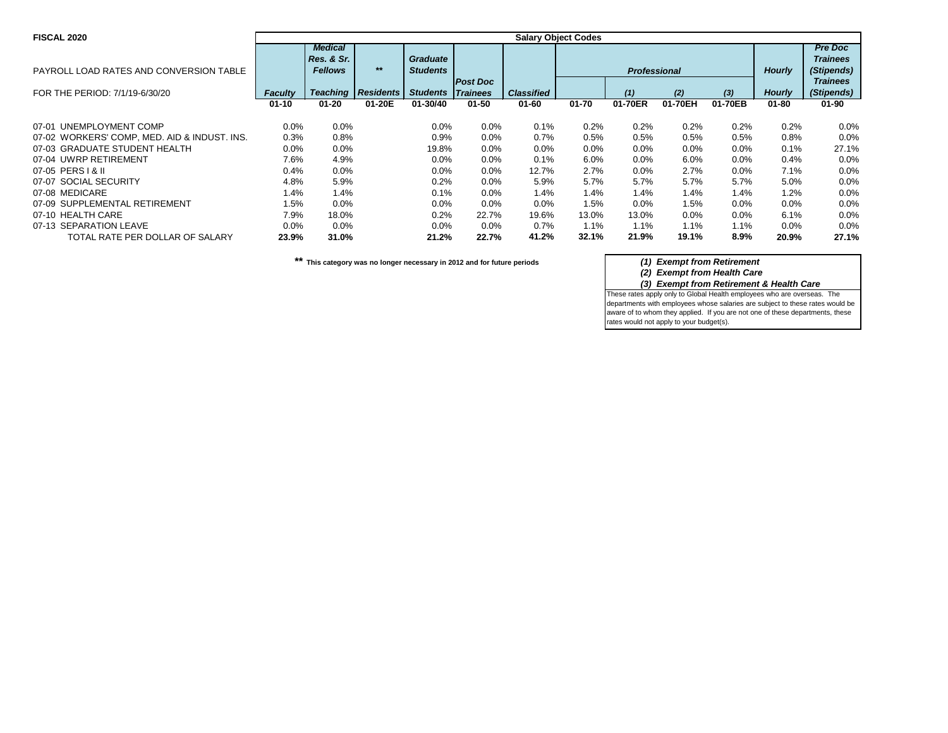| <b>FISCAL 2020</b>                           | <b>Salary Object Codes</b> |                 |                  |                          |                 |                   |           |                     |         |         |               |                 |
|----------------------------------------------|----------------------------|-----------------|------------------|--------------------------|-----------------|-------------------|-----------|---------------------|---------|---------|---------------|-----------------|
|                                              |                            | <b>Medical</b>  |                  |                          |                 |                   |           |                     |         |         |               | <b>Pre Doc</b>  |
|                                              |                            | Res. & Sr.      |                  | <b>Graduate</b>          |                 |                   |           |                     |         |         |               | <b>Trainees</b> |
| PAYROLL LOAD RATES AND CONVERSION TABLE      |                            | <b>Fellows</b>  | $***$            | <b>Students</b>          |                 |                   |           | <b>Professional</b> |         |         | <b>Hourly</b> | (Stipends)      |
|                                              |                            |                 |                  |                          | <b>Post Doc</b> |                   |           |                     |         |         |               | <b>Trainees</b> |
| FOR THE PERIOD: 7/1/19-6/30/20               | <b>Faculty</b>             | <b>Teaching</b> | <b>Residents</b> | <b>Students Trainees</b> |                 | <b>Classified</b> |           | (1)                 | (2)     | $(3)$   | <b>Hourly</b> | (Stipends)      |
|                                              | $01 - 10$                  | $01 - 20$       | 01-20E           | 01-30/40                 | $01 - 50$       | $01 - 60$         | $01 - 70$ | 01-70ER             | 01-70EH | 01-70EB | $01 - 80$     | $01 - 90$       |
| 07-01 UNEMPLOYMENT COMP                      | $0.0\%$                    | 0.0%            |                  | 0.0%                     | $0.0\%$         | 0.1%              | 0.2%      | 0.2%                | 0.2%    | 0.2%    | 0.2%          | $0.0\%$         |
| 07-02 WORKERS' COMP, MED. AID & INDUST. INS. | 0.3%                       | 0.8%            |                  | 0.9%                     | 0.0%            | 0.7%              | 0.5%      | 0.5%                | 0.5%    | 0.5%    | 0.8%          | 0.0%            |
| 07-03 GRADUATE STUDENT HEALTH                | 0.0%                       | 0.0%            |                  | 19.8%                    | 0.0%            | 0.0%              | 0.0%      | $0.0\%$             | 0.0%    | 0.0%    | 0.1%          | 27.1%           |
| 07-04 UWRP RETIREMENT                        | 7.6%                       | 4.9%            |                  | 0.0%                     | $0.0\%$         | 0.1%              | 6.0%      | $0.0\%$             | 6.0%    | 0.0%    | 0.4%          | 0.0%            |
| 07-05 PERS   & II                            | 0.4%                       | $0.0\%$         |                  | 0.0%                     | 0.0%            | 12.7%             | 2.7%      | $0.0\%$             | 2.7%    | 0.0%    | 7.1%          | 0.0%            |
| 07-07 SOCIAL SECURITY                        | 4.8%                       | 5.9%            |                  | 0.2%                     | $0.0\%$         | 5.9%              | 5.7%      | 5.7%                | 5.7%    | 5.7%    | 5.0%          | 0.0%            |
| 07-08 MEDICARE                               | 1.4%                       | 1.4%            |                  | 0.1%                     | 0.0%            | 1.4%              | 1.4%      | 1.4%                | 1.4%    | 1.4%    | 1.2%          | 0.0%            |
| 07-09 SUPPLEMENTAL RETIREMENT                | 1.5%                       | 0.0%            |                  | 0.0%                     | 0.0%            | 0.0%              | 1.5%      | 0.0%                | 1.5%    | 0.0%    | 0.0%          | 0.0%            |
| 07-10 HEALTH CARE                            | 7.9%                       | 18.0%           |                  | 0.2%                     | 22.7%           | 19.6%             | 13.0%     | 13.0%               | 0.0%    | 0.0%    | 6.1%          | $0.0\%$         |
| 07-13 SEPARATION LEAVE                       | $0.0\%$                    | 0.0%            |                  | $0.0\%$                  | $0.0\%$         | 0.7%              | 1.1%      | $1.1\%$             | 1.1%    | 1.1%    | $0.0\%$       | $0.0\%$         |
| TOTAL RATE PER DOLLAR OF SALARY              | 23.9%                      | 31.0%           |                  | 21.2%                    | 22.7%           | 41.2%             | 32.1%     | 21.9%               | 19.1%   | 8.9%    | 20.9%         | 27.1%           |

*(2) Exempt from Health Care (3) Exempt from Retirement & Health Care*

These rates apply only to Global Health employees who are overseas. The departments with employees whose salaries are subject to these rates would be aware of to whom they applied. If you are not one of these departments, these rates would not apply to your budget(s).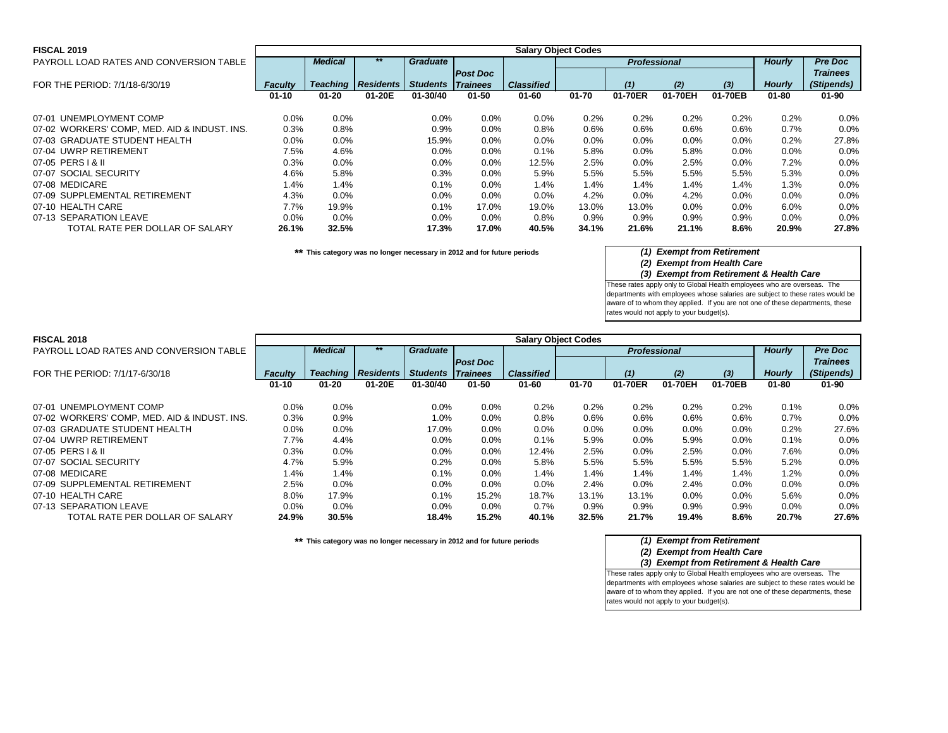| <b>FISCAL 2019</b>                           | <b>Salary Object Codes</b> |                 |                  |                 |                 |                   |           |                     |         |         |               |                 |  |
|----------------------------------------------|----------------------------|-----------------|------------------|-----------------|-----------------|-------------------|-----------|---------------------|---------|---------|---------------|-----------------|--|
| PAYROLL LOAD RATES AND CONVERSION TABLE      |                            | <b>Medical</b>  | $***$            | <b>Graduate</b> |                 |                   |           | <b>Professional</b> |         |         | <b>Hourly</b> | <b>Pre Doc</b>  |  |
|                                              |                            |                 |                  |                 | <b>Post Doc</b> |                   |           |                     |         |         |               | <b>Trainees</b> |  |
| FOR THE PERIOD: 7/1/18-6/30/19               | <b>Faculty</b>             | <b>Teaching</b> | <b>Residents</b> | <b>Students</b> | <b>Trainees</b> | <b>Classified</b> |           | (1)                 | (2)     | (3)     | <b>Hourly</b> | (Stipends)      |  |
|                                              | $01 - 10$                  | $01 - 20$       | 01-20E           | 01-30/40        | $01 - 50$       | $01 - 60$         | $01 - 70$ | 01-70ER             | 01-70EH | 01-70EB | $01 - 80$     | $01 - 90$       |  |
| 07-01 UNEMPLOYMENT COMP                      | $0.0\%$                    | $0.0\%$         |                  | 0.0%            | $0.0\%$         | $0.0\%$           | 0.2%      | 0.2%                | 0.2%    | 0.2%    | 0.2%          | 0.0%            |  |
| 07-02 WORKERS' COMP, MED. AID & INDUST. INS. | 0.3%                       | 0.8%            |                  | 0.9%            | $0.0\%$         | 0.8%              | 0.6%      | 0.6%                | $0.6\%$ | 0.6%    | 0.7%          | 0.0%            |  |
| 07-03 GRADUATE STUDENT HEALTH                | $0.0\%$                    | 0.0%            |                  | 15.9%           | $0.0\%$         | $0.0\%$           | 0.0%      | $0.0\%$             | 0.0%    | $0.0\%$ | 0.2%          | 27.8%           |  |
| 07-04 UWRP RETIREMENT                        | 7.5%                       | 4.6%            |                  | 0.0%            | $0.0\%$         | 0.1%              | 5.8%      | $0.0\%$             | 5.8%    | 0.0%    | 0.0%          | 0.0%            |  |
| 07-05 PERS   & II                            | 0.3%                       | $0.0\%$         |                  | $0.0\%$         | $0.0\%$         | 12.5%             | 2.5%      | $0.0\%$             | 2.5%    | $0.0\%$ | 7.2%          | 0.0%            |  |
| 07-07 SOCIAL SECURITY                        | 4.6%                       | 5.8%            |                  | 0.3%            | 0.0%            | 5.9%              | 5.5%      | 5.5%                | 5.5%    | 5.5%    | 5.3%          | 0.0%            |  |
| 07-08 MEDICARE                               | 1.4%                       | 1.4%            |                  | 0.1%            | $0.0\%$         | 1.4%              | 1.4%      | 1.4%                | 1.4%    | 1.4%    | 1.3%          | 0.0%            |  |
| 07-09 SUPPLEMENTAL RETIREMENT                | 4.3%                       | 0.0%            |                  | 0.0%            | $0.0\%$         | 0.0%              | 4.2%      | $0.0\%$             | 4.2%    | 0.0%    | $0.0\%$       | 0.0%            |  |
| 07-10 HEALTH CARE                            | 7.7%                       | 19.9%           |                  | 0.1%            | 17.0%           | 19.0%             | 13.0%     | 13.0%               | $0.0\%$ | $0.0\%$ | 6.0%          | 0.0%            |  |
| 07-13 SEPARATION LEAVE                       | $0.0\%$                    | $0.0\%$         |                  | 0.0%            | $0.0\%$         | 0.8%              | 0.9%      | 0.9%                | $0.9\%$ | 0.9%    | 0.0%          | 0.0%            |  |
| TOTAL RATE PER DOLLAR OF SALARY              | 26.1%                      | 32.5%           |                  | 17.3%           | 17.0%           | 40.5%             | 34.1%     | 21.6%               | 21.1%   | 8.6%    | 20.9%         | 27.8%           |  |

*(2) Exempt from Health Care*

*(3) Exempt from Retirement & Health Care*

These rates apply only to Global Health employees who are overseas. The departments with employees whose salaries are subject to these rates would be aware of to whom they applied. If you are not one of these departments, these rates would not apply to your budget(s).

| <b>FISCAL 2018</b>                           | <b>Salary Object Codes</b> |                |                             |                          |                 |                   |           |                     |         |         |               |                 |
|----------------------------------------------|----------------------------|----------------|-----------------------------|--------------------------|-----------------|-------------------|-----------|---------------------|---------|---------|---------------|-----------------|
| PAYROLL LOAD RATES AND CONVERSION TABLE      |                            | <b>Medical</b> |                             | <b>Graduate</b>          |                 |                   |           | <b>Professional</b> |         |         | <b>Hourly</b> | <b>Pre Doc</b>  |
|                                              |                            |                |                             |                          | <b>Post Doc</b> |                   |           |                     |         |         |               | <b>Trainees</b> |
| FOR THE PERIOD: 7/1/17-6/30/18               | <b>Faculty</b>             |                | <b>Teaching   Residents</b> | <b>Students Trainees</b> |                 | <b>Classified</b> |           | (1)                 | (2)     | $(3)$   | <b>Hourly</b> | (Stipends)      |
|                                              | $01 - 10$                  | $01 - 20$      | 01-20E                      | 01-30/40                 | $01 - 50$       | $01 - 60$         | $01 - 70$ | 01-70ER             | 01-70EH | 01-70EB | $01 - 80$     | $01 - 90$       |
|                                              |                            |                |                             |                          |                 |                   |           |                     |         |         |               |                 |
| 07-01 UNEMPLOYMENT COMP                      | 0.0%                       | 0.0%           |                             | 0.0%                     | 0.0%            | 0.2%              | 0.2%      | 0.2%                | 0.2%    | 0.2%    | 0.1%          | $0.0\%$         |
| 07-02 WORKERS' COMP, MED. AID & INDUST. INS. | 0.3%                       | 0.9%           |                             | 1.0%                     | 0.0%            | 0.8%              | 0.6%      | 0.6%                | 0.6%    | 0.6%    | 0.7%          | 0.0%            |
| 07-03 GRADUATE STUDENT HEALTH                | $0.0\%$                    | 0.0%           |                             | 17.0%                    | 0.0%            | 0.0%              | 0.0%      | $0.0\%$             | 0.0%    | 0.0%    | 0.2%          | 27.6%           |
| 07-04 UWRP RETIREMENT                        | 7.7%                       | 4.4%           |                             | $0.0\%$                  | $0.0\%$         | 0.1%              | 5.9%      | $0.0\%$             | 5.9%    | 0.0%    | 0.1%          | 0.0%            |
| 07-05 PERS   & II                            | 0.3%                       | 0.0%           |                             | 0.0%                     | 0.0%            | 12.4%             | 2.5%      | $0.0\%$             | 2.5%    | 0.0%    | 7.6%          | $0.0\%$         |
| 07-07 SOCIAL SECURITY                        | 4.7%                       | 5.9%           |                             | 0.2%                     | $0.0\%$         | 5.8%              | 5.5%      | 5.5%                | 5.5%    | 5.5%    | 5.2%          | 0.0%            |
| 07-08 MEDICARE                               | 1.4%                       | 1.4%           |                             | $0.1\%$                  | $0.0\%$         | 1.4%              | 1.4%      | $1.4\%$             | 1.4%    | 1.4%    | 1.2%          | 0.0%            |
| 07-09 SUPPLEMENTAL RETIREMENT                | 2.5%                       | 0.0%           |                             | 0.0%                     | 0.0%            | 0.0%              | 2.4%      | 0.0%                | 2.4%    | 0.0%    | 0.0%          | 0.0%            |
| 07-10 HEALTH CARE                            | 8.0%                       | 17.9%          |                             | 0.1%                     | 15.2%           | 18.7%             | 13.1%     | 13.1%               | 0.0%    | 0.0%    | 5.6%          | 0.0%            |
| 07-13 SEPARATION LEAVE                       | $0.0\%$                    | 0.0%           |                             | $0.0\%$                  | $0.0\%$         | 0.7%              | 0.9%      | 0.9%                | $0.9\%$ | 0.9%    | $0.0\%$       | $0.0\%$         |
| TOTAL RATE PER DOLLAR OF SALARY              | 24.9%                      | 30.5%          |                             | 18.4%                    | 15.2%           | 40.1%             | 32.5%     | 21.7%               | 19.4%   | 8.6%    | 20.7%         | 27.6%           |

**\*\* This category was no longer necessary in 2012 and for future periods** *(1) Exempt from Retirement*

## *(2) Exempt from Health Care*

*(3) Exempt from Retirement & Health Care* These rates apply only to Global Health employees who are overseas. The departments with employees whose salaries are subject to these rates would be aware of to whom they applied. If you are not one of these departments, these rates would not apply to your budget(s).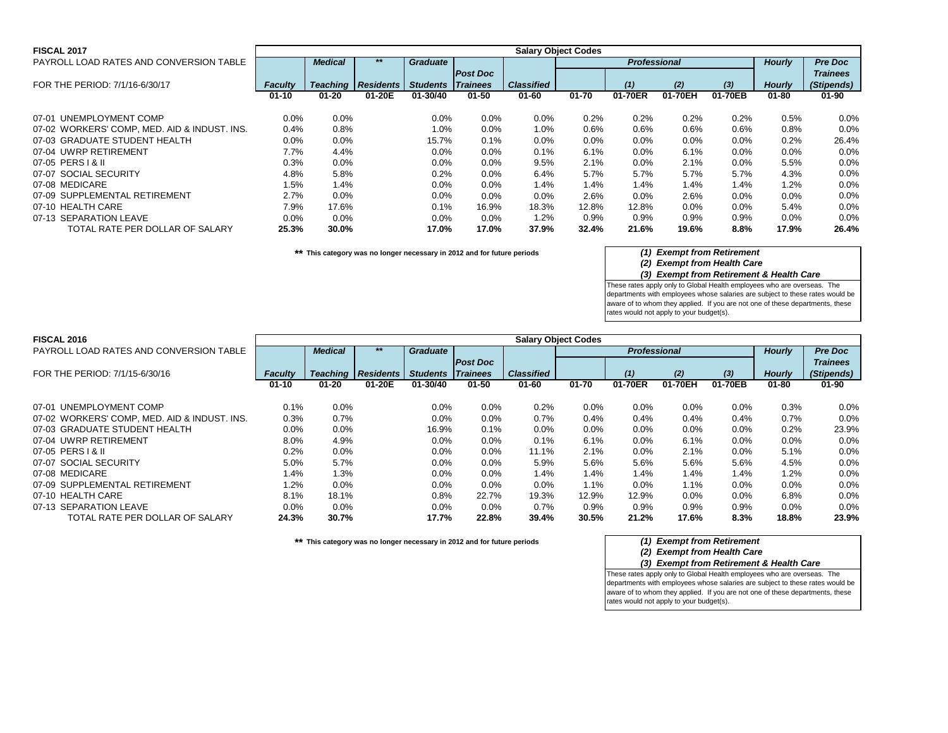| <b>FISCAL 2017</b>                           | <b>Salary Object Codes</b> |                |                             |                          |                 |                   |           |                     |         |         |               |                 |  |
|----------------------------------------------|----------------------------|----------------|-----------------------------|--------------------------|-----------------|-------------------|-----------|---------------------|---------|---------|---------------|-----------------|--|
| PAYROLL LOAD RATES AND CONVERSION TABLE      |                            | <b>Medical</b> |                             | <b>Graduate</b>          |                 |                   |           | <b>Professional</b> |         |         | <b>Hourly</b> | <b>Pre Doc</b>  |  |
|                                              |                            |                |                             |                          | <b>Post Doc</b> |                   |           |                     |         |         |               | <b>Trainees</b> |  |
| FOR THE PERIOD: 7/1/16-6/30/17               | <b>Faculty</b>             |                | <b>Teaching   Residents</b> | <b>Students Trainees</b> |                 | <b>Classified</b> |           | (1)                 | (2)     | (3)     | <b>Hourly</b> | (Stipends)      |  |
|                                              | $01 - 10$                  | $01 - 20$      | 01-20E                      | 01-30/40                 | $01 - 50$       | $01 - 60$         | $01 - 70$ | 01-70ER             | 01-70EH | 01-70EB | 01-80         | $01 - 90$       |  |
| 07-01 UNEMPLOYMENT COMP                      | $0.0\%$                    | 0.0%           |                             | 0.0%                     | $0.0\%$         | $0.0\%$           | 0.2%      | 0.2%                | 0.2%    | 0.2%    | 0.5%          | 0.0%            |  |
| 07-02 WORKERS' COMP, MED. AID & INDUST. INS. | 0.4%                       | 0.8%           |                             | 1.0%                     | $0.0\%$         | 1.0%              | 0.6%      | $0.6\%$             | 0.6%    | 0.6%    | $0.8\%$       | 0.0%            |  |
| 07-03 GRADUATE STUDENT HEALTH                | $0.0\%$                    | 0.0%           |                             | 15.7%                    | 0.1%            | $0.0\%$           | $0.0\%$   | $0.0\%$             | $0.0\%$ | $0.0\%$ | 0.2%          | 26.4%           |  |
| 07-04 UWRP RETIREMENT                        | 7.7%                       | 4.4%           |                             | 0.0%                     | $0.0\%$         | 0.1%              | 6.1%      | $0.0\%$             | 6.1%    | 0.0%    | $0.0\%$       | 0.0%            |  |
| 07-05 PERS   & II                            | 0.3%                       | 0.0%           |                             | $0.0\%$                  | $0.0\%$         | 9.5%              | 2.1%      | $0.0\%$             | 2.1%    | 0.0%    | 5.5%          | 0.0%            |  |
| 07-07 SOCIAL SECURITY                        | 4.8%                       | 5.8%           |                             | 0.2%                     | $0.0\%$         | 6.4%              | 5.7%      | 5.7%                | 5.7%    | 5.7%    | 4.3%          | 0.0%            |  |
| 07-08 MEDICARE                               | 1.5%                       | 1.4%           |                             | 0.0%                     | $0.0\%$         | 1.4%              | 1.4%      | 1.4%                | 1.4%    | 1.4%    | 1.2%          | 0.0%            |  |
| 07-09 SUPPLEMENTAL RETIREMENT                | 2.7%                       | 0.0%           |                             | $0.0\%$                  | $0.0\%$         | 0.0%              | 2.6%      | $0.0\%$             | 2.6%    | 0.0%    | $0.0\%$       | 0.0%            |  |
| 07-10 HEALTH CARE                            | 7.9%                       | 17.6%          |                             | 0.1%                     | 16.9%           | 18.3%             | 12.8%     | 12.8%               | $0.0\%$ | 0.0%    | 5.4%          | 0.0%            |  |
| 07-13 SEPARATION LEAVE                       | $0.0\%$                    | 0.0%           |                             | $0.0\%$                  | $0.0\%$         | 1.2%              | 0.9%      | $0.9\%$             | 0.9%    | 0.9%    | $0.0\%$       | 0.0%            |  |
| TOTAL RATE PER DOLLAR OF SALARY              | 25.3%                      | 30.0%          |                             | 17.0%                    | 17.0%           | 37.9%             | 32.4%     | 21.6%               | 19.6%   | 8.8%    | 17.9%         | 26.4%           |  |

*(2) Exempt from Health Care*

*(3) Exempt from Retirement & Health Care*

These rates apply only to Global Health employees who are overseas. The departments with employees whose salaries are subject to these rates would be aware of to whom they applied. If you are not one of these departments, these rates would not apply to your budget(s).

| <b>FISCAL 2016</b>                           | <b>Salary Object Codes</b> |                |                               |                          |                 |                   |           |                     |         |         |               |                 |
|----------------------------------------------|----------------------------|----------------|-------------------------------|--------------------------|-----------------|-------------------|-----------|---------------------|---------|---------|---------------|-----------------|
| PAYROLL LOAD RATES AND CONVERSION TABLE      |                            | <b>Medical</b> | **                            | <b>Graduate</b>          |                 |                   |           | <b>Professional</b> |         |         | <b>Hourly</b> | <b>Pre Doc</b>  |
|                                              |                            |                |                               |                          | <b>Post Doc</b> |                   |           |                     |         |         |               | <b>Trainees</b> |
| FOR THE PERIOD: 7/1/15-6/30/16               | <b>Faculty</b>             |                | <b>Teaching   Residents  </b> | <b>Students Trainees</b> |                 | <b>Classified</b> |           | (1)                 | (2)     | $(3)$   | <b>Hourly</b> | (Stipends)      |
|                                              | $01 - 10$                  | $01 - 20$      | 01-20E                        | 01-30/40                 | $01 - 50$       | $01 - 60$         | $01 - 70$ | 01-70ER             | 01-70EH | 01-70EB | $01 - 80$     | $01 - 90$       |
| 07-01 UNEMPLOYMENT COMP                      | 0.1%                       | 0.0%           |                               | 0.0%                     | 0.0%            | 0.2%              | 0.0%      | 0.0%                | 0.0%    | 0.0%    | 0.3%          | $0.0\%$         |
| 07-02 WORKERS' COMP, MED. AID & INDUST. INS. | 0.3%                       | 0.7%           |                               | $0.0\%$                  | $0.0\%$         | 0.7%              | 0.4%      | 0.4%                | $0.4\%$ | 0.4%    | 0.7%          | $0.0\%$         |
| 07-03 GRADUATE STUDENT HEALTH                | $0.0\%$                    | 0.0%           |                               | 16.9%                    | 0.1%            | $0.0\%$           | $0.0\%$   | $0.0\%$             | 0.0%    | 0.0%    | 0.2%          | 23.9%           |
| 07-04 UWRP RETIREMENT                        | 8.0%                       | 4.9%           |                               | 0.0%                     | 0.0%            | 0.1%              | 6.1%      | 0.0%                | 6.1%    | 0.0%    | 0.0%          | $0.0\%$         |
| 07-05 PERS   & II                            | 0.2%                       | 0.0%           |                               | $0.0\%$                  | $0.0\%$         | 11.1%             | 2.1%      | $0.0\%$             | 2.1%    | 0.0%    | 5.1%          | $0.0\%$         |
| 07-07 SOCIAL SECURITY                        | 5.0%                       | 5.7%           |                               | 0.0%                     | 0.0%            | 5.9%              | 5.6%      | 5.6%                | 5.6%    | 5.6%    | 4.5%          | 0.0%            |
| 07-08 MEDICARE                               | 1.4%                       | 1.3%           |                               | 0.0%                     | 0.0%            | 1.4%              | 1.4%      | 1.4%                | 1.4%    | 1.4%    | 1.2%          | $0.0\%$         |
| 07-09 SUPPLEMENTAL RETIREMENT                | 1.2%                       | 0.0%           |                               | $0.0\%$                  | $0.0\%$         | $0.0\%$           | $1.1\%$   | $0.0\%$             | 1.1%    | 0.0%    | $0.0\%$       | $0.0\%$         |
| 07-10 HEALTH CARE                            | 8.1%                       | 18.1%          |                               | 0.8%                     | 22.7%           | 19.3%             | 12.9%     | 12.9%               | 0.0%    | 0.0%    | 6.8%          | $0.0\%$         |
| 07-13 SEPARATION LEAVE                       | $0.0\%$                    | 0.0%           |                               | $0.0\%$                  | $0.0\%$         | 0.7%              | 0.9%      | 0.9%                | $0.9\%$ | 0.9%    | $0.0\%$       | $0.0\%$         |
| TOTAL RATE PER DOLLAR OF SALARY              | 24.3%                      | 30.7%          |                               | 17.7%                    | 22.8%           | 39.4%             | 30.5%     | 21.2%               | 17.6%   | 8.3%    | 18.8%         | 23.9%           |

**\*\* This category was no longer necessary in 2012 and for future periods** *(1) Exempt from Retirement*

## *(2) Exempt from Health Care*

*(3) Exempt from Retirement & Health Care*

These rates apply only to Global Health employees who are overseas. The departments with employees whose salaries are subject to these rates would be aware of to whom they applied. If you are not one of these departments, these rates would not apply to your budget(s).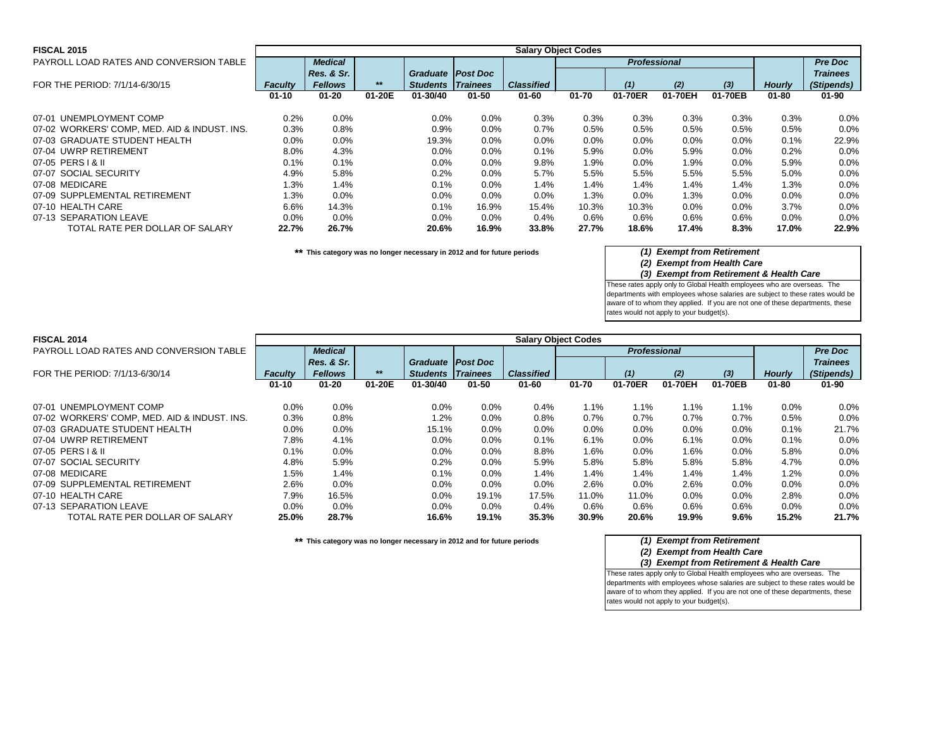| <b>FISCAL 2015</b>                           |                |                |        |                          |           |                   | <b>Salary Object Codes</b> |                     |         |         |               |                 |
|----------------------------------------------|----------------|----------------|--------|--------------------------|-----------|-------------------|----------------------------|---------------------|---------|---------|---------------|-----------------|
| PAYROLL LOAD RATES AND CONVERSION TABLE      |                | <b>Medical</b> |        |                          |           |                   |                            | <b>Professional</b> |         |         |               | <b>Pre Doc</b>  |
|                                              |                | Res. & Sr.     |        | <b>Graduate Post Doc</b> |           |                   |                            |                     |         |         |               | <b>Trainees</b> |
| FOR THE PERIOD: 7/1/14-6/30/15               | <b>Faculty</b> | <b>Fellows</b> | $***$  | <b>Students Trainees</b> |           | <b>Classified</b> |                            | (1)                 | (2)     | $(3)$   | <b>Hourly</b> | (Stipends)      |
|                                              | $01 - 10$      | $01 - 20$      | 01-20E | 01-30/40                 | $01 - 50$ | $01 - 60$         | $01 - 70$                  | 01-70ER             | 01-70EH | 01-70EB | 01-80         | $01 - 90$       |
| 07-01 UNEMPLOYMENT COMP                      | 0.2%           | 0.0%           |        | $0.0\%$                  | $0.0\%$   | 0.3%              | 0.3%                       | 0.3%                | 0.3%    | 0.3%    | 0.3%          | 0.0%            |
| 07-02 WORKERS' COMP, MED. AID & INDUST. INS. | 0.3%           | 0.8%           |        | 0.9%                     | $0.0\%$   | 0.7%              | 0.5%                       | 0.5%                | 0.5%    | 0.5%    | 0.5%          | $0.0\%$         |
| 07-03 GRADUATE STUDENT HEALTH                | $0.0\%$        | 0.0%           |        | 19.3%                    | $0.0\%$   | $0.0\%$           | $0.0\%$                    | $0.0\%$             | $0.0\%$ | $0.0\%$ | 0.1%          | 22.9%           |
| 07-04 UWRP RETIREMENT                        | 8.0%           | 4.3%           |        | 0.0%                     | $0.0\%$   | 0.1%              | 5.9%                       | $0.0\%$             | 5.9%    | $0.0\%$ | 0.2%          | 0.0%            |
| 07-05 PERS   & II                            | 0.1%           | 0.1%           |        | $0.0\%$                  | $0.0\%$   | 9.8%              | 1.9%                       | 0.0%                | 1.9%    | $0.0\%$ | 5.9%          | 0.0%            |
| 07-07 SOCIAL SECURITY                        | 4.9%           | 5.8%           |        | 0.2%                     | $0.0\%$   | 5.7%              | 5.5%                       | 5.5%                | 5.5%    | 5.5%    | 5.0%          | 0.0%            |
| 07-08 MEDICARE                               | 1.3%           | 1.4%           |        | 0.1%                     | $0.0\%$   | 1.4%              | 1.4%                       | 1.4%                | 1.4%    | 1.4%    | 1.3%          | 0.0%            |
| 07-09 SUPPLEMENTAL RETIREMENT                | 1.3%           | 0.0%           |        | 0.0%                     | $0.0\%$   | $0.0\%$           | 1.3%                       | 0.0%                | 1.3%    | $0.0\%$ | $0.0\%$       | 0.0%            |
| 07-10 HEALTH CARE                            | 6.6%           | 14.3%          |        | 0.1%                     | 16.9%     | 15.4%             | 10.3%                      | 10.3%               | $0.0\%$ | $0.0\%$ | 3.7%          | 0.0%            |
| 07-13 SEPARATION LEAVE                       | $0.0\%$        | 0.0%           |        | $0.0\%$                  | $0.0\%$   | 0.4%              | 0.6%                       | 0.6%                | $0.6\%$ | 0.6%    | $0.0\%$       | $0.0\%$         |
| TOTAL RATE PER DOLLAR OF SALARY              | 22.7%          | 26.7%          |        | 20.6%                    | 16.9%     | 33.8%             | 27.7%                      | 18.6%               | 17.4%   | 8.3%    | 17.0%         | 22.9%           |

*(2) Exempt from Health Care*

*(3) Exempt from Retirement & Health Care*

These rates apply only to Global Health employees who are overseas. The departments with employees whose salaries are subject to these rates would be aware of to whom they applied. If you are not one of these departments, these rates would not apply to your budget(s).

| <b>FISCAL 2014</b>                           | <b>Salary Object Codes</b> |                |        |                          |           |                   |           |                     |         |         |               |                 |
|----------------------------------------------|----------------------------|----------------|--------|--------------------------|-----------|-------------------|-----------|---------------------|---------|---------|---------------|-----------------|
| PAYROLL LOAD RATES AND CONVERSION TABLE      |                            | <b>Medical</b> |        |                          |           |                   |           | <b>Professional</b> |         |         |               | <b>Pre Doc</b>  |
|                                              |                            | Res. & Sr.     |        | Graduate   Post Doc      |           |                   |           |                     |         |         |               | <b>Trainees</b> |
| FOR THE PERIOD: 7/1/13-6/30/14               | <b>Faculty</b>             | <b>Fellows</b> | $***$  | <b>Students Trainees</b> |           | <b>Classified</b> |           | (1)                 | (2)     | $(3)$   | <b>Hourly</b> | (Stipends)      |
|                                              | $01 - 10$                  | $01 - 20$      | 01-20E | 01-30/40                 | $01 - 50$ | $01 - 60$         | $01 - 70$ | 01-70ER             | 01-70EH | 01-70EB | $01 - 80$     | $01 - 90$       |
| 07-01 UNEMPLOYMENT COMP                      | $0.0\%$                    | 0.0%           |        | 0.0%                     | 0.0%      | 0.4%              | $1.1\%$   | 1.1%                | 1.1%    | 1.1%    | 0.0%          | $0.0\%$         |
| 07-02 WORKERS' COMP, MED. AID & INDUST. INS. | 0.3%                       | 0.8%           |        | 1.2%                     | $0.0\%$   | 0.8%              | 0.7%      | 0.7%                | 0.7%    | 0.7%    | 0.5%          | $0.0\%$         |
| 07-03 GRADUATE STUDENT HEALTH                | $0.0\%$                    | 0.0%           |        | 15.1%                    | $0.0\%$   | $0.0\%$           | $0.0\%$   | $0.0\%$             | $0.0\%$ | 0.0%    | 0.1%          | 21.7%           |
| 07-04 UWRP RETIREMENT                        | 7.8%                       | 4.1%           |        | 0.0%                     | 0.0%      | 0.1%              | 6.1%      | $0.0\%$             | 6.1%    | 0.0%    | 0.1%          | 0.0%            |
| 07-05 PERS   & II                            | 0.1%                       | $0.0\%$        |        | $0.0\%$                  | $0.0\%$   | 8.8%              | 1.6%      | $0.0\%$             | 1.6%    | 0.0%    | 5.8%          | $0.0\%$         |
| 07-07 SOCIAL SECURITY                        | 4.8%                       | 5.9%           |        | 0.2%                     | $0.0\%$   | 5.9%              | 5.8%      | 5.8%                | 5.8%    | 5.8%    | 4.7%          | $0.0\%$         |
| 07-08 MEDICARE                               | 1.5%                       | 1.4%           |        | 0.1%                     | 0.0%      | 1.4%              | 1.4%      | 1.4%                | 1.4%    | 1.4%    | 1.2%          | 0.0%            |
| 07-09 SUPPLEMENTAL RETIREMENT                | 2.6%                       | $0.0\%$        |        | $0.0\%$                  | $0.0\%$   | $0.0\%$           | 2.6%      | $0.0\%$             | 2.6%    | 0.0%    | $0.0\%$       | $0.0\%$         |
| 07-10 HEALTH CARE                            | 7.9%                       | 16.5%          |        | 0.0%                     | 19.1%     | 17.5%             | 11.0%     | 11.0%               | 0.0%    | 0.0%    | 2.8%          | $0.0\%$         |
| 07-13 SEPARATION LEAVE                       | $0.0\%$                    | $0.0\%$        |        | 0.0%                     | 0.0%      | 0.4%              | 0.6%      | 0.6%                | 0.6%    | 0.6%    | 0.0%          | $0.0\%$         |
| TOTAL RATE PER DOLLAR OF SALARY              | 25.0%                      | 28.7%          |        | 16.6%                    | 19.1%     | 35.3%             | 30.9%     | 20.6%               | 19.9%   | 9.6%    | 15.2%         | 21.7%           |

**\*\* This category was no longer necessary in 2012 and for future periods** *(1) Exempt from Retirement*

## *(2) Exempt from Health Care*

*(3) Exempt from Retirement & Health Care* These rates apply only to Global Health employees who are overseas. The departments with employees whose salaries are subject to these rates would be aware of to whom they applied. If you are not one of these departments, these rates would not apply to your budget(s).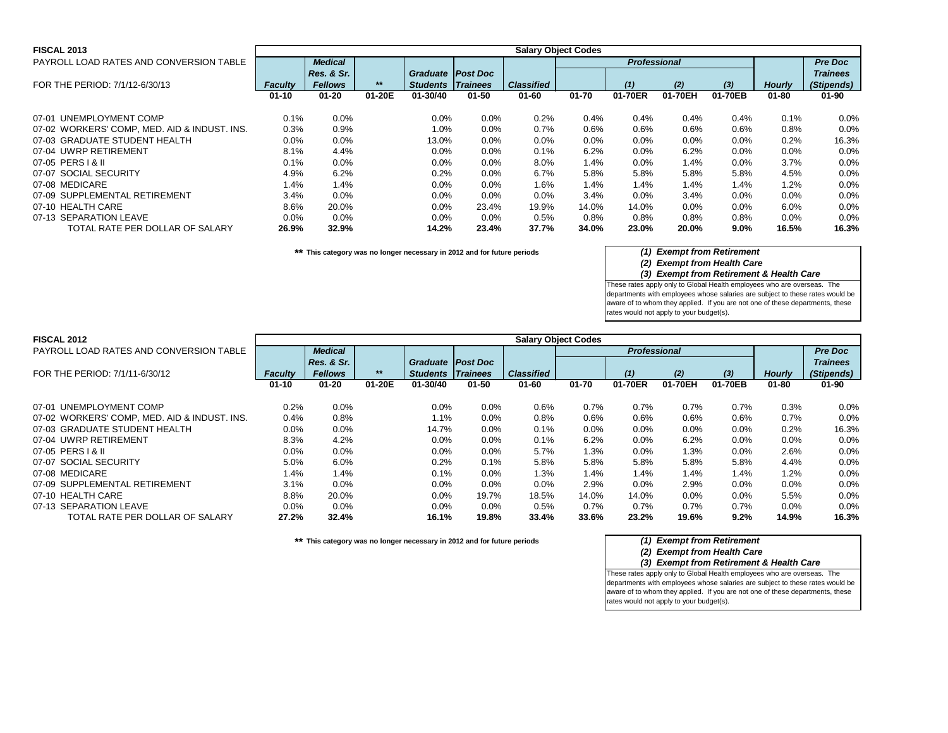### **FISCAL 2013** PAYROLL LOAD RATES AND CONVERSION TABLE FOR THE PERIOD: 7/1/12-6/30/13 **Faculty | Fellows | \*\* | Students | Trainees | Classified | | (1) (2) (3)**<br>01-10 01-20 01-20E 01-30/40 01-50 01-60 01-70 01-70ER 01-70EH 01-70EB **01-10 01-20 01-20E 01-30/40 01-50 01-60 01-70 01-70ER 01-70EH 01-70EB 01-80 01-90** 07-01 UNEMPLOYMENT COMP 0.1% 0.0% 0.0% 0.0% 0.2% 0.4% 0.4% 0.4% 0.1% 0.0%<br>07-02 WORKERS' COMP. MED. AID & INDUST. INS. 0.3% 0.9% 1.0% 0.8% 0.7% 0.6% 0.6% 0.8% 0. 07-02 WORKERS' COMP, MED. AID & INDUST. INS. 0.3% 0.9% 1.0% 0.0% 0.7% 0.6% 0.6% 0.6% 0.6% 0.8% 0.0% 07-03 GRADUATE STUDENT HEALTH 07-04 UWRP RETIREMENT 8.1% 4.4% 0.0% 0.0% 0.1% 6.2% 0.0% 0.0% 0.0% 0.0% 07-05 PERST&II 0.1% 0.0% 0.0% 0.0% 8.0% 1.4% 0.0% 3.7% 0.0% 07-07 SOCIAL SECURITY 4.9% 6.2% 0.2% 0.0% 6.7% 5.8% 5.8% 5.8% 5.8% 4.5% 0.0% 07-08 MEDICARE 1.4% 1.4% 0.0% 0.0% 1.6% 1.4% 1.4% 1.4% 1.2% 0.0% 07-09 SUPPLEMENTAL RETIREMENT 3.4% 0.0% 0.0% 0.0% 0.0% 3.4% 0.0% 3.4% 0.0% 0.0% 0.0% 07-10 HEALTH CARE 8.6% 20.0% 0.0% 23.4% 19.9% 14.0% 0.0% 0.0% 0.0% 0.0% 07-13 SEPARATION LEAVE 0.0% 0.0% 0.0% 0.0% 0.5% 0.8% 0.8% 0.8% 0.8% 0.0% 0.0% TOTAL RATE PER DOLLAR OF SALARY **26.9% 32.9% 14.2% 23.4% 37.7% 34.0% 23.0% 20.0% 9.0% 16.5% 16.3%** *Classified Professional Hourly Pre Doc Trainees (Stipends)* **Salary Object Codes** *Faculty Medical Res. & Sr. Fellows \*\* Graduate Post Doc Students Trainees*

**\*\* This category was no longer necessary in 2012 and for future periods** *(1) Exempt from Retirement*

*(2) Exempt from Health Care*

*(3) Exempt from Retirement & Health Care*

These rates apply only to Global Health employees who are overseas. The departments with employees whose salaries are subject to these rates would be aware of to whom they applied. If you are not one of these departments, these rates would not apply to your budget(s).

| <b>FISCAL 2012</b>                           | <b>Salary Object Codes</b> |                |        |                          |           |                   |           |                     |         |         |               |                 |
|----------------------------------------------|----------------------------|----------------|--------|--------------------------|-----------|-------------------|-----------|---------------------|---------|---------|---------------|-----------------|
| PAYROLL LOAD RATES AND CONVERSION TABLE      |                            | <b>Medical</b> |        |                          |           |                   |           | <b>Professional</b> |         |         |               | <b>Pre Doc</b>  |
|                                              |                            | Res. & Sr.     |        | Graduate   Post Doc      |           |                   |           |                     |         |         |               | <b>Trainees</b> |
| FOR THE PERIOD: 7/1/11-6/30/12               | <b>Faculty</b>             | <b>Fellows</b> | $***$  | <b>Students Trainees</b> |           | <b>Classified</b> |           | (1)                 | (2)     | $(3)$   | <b>Hourly</b> | (Stipends)      |
|                                              | $01 - 10$                  | $01 - 20$      | 01-20E | 01-30/40                 | $01 - 50$ | $01 - 60$         | $01 - 70$ | 01-70ER             | 01-70EH | 01-70EB | $01 - 80$     | $01 - 90$       |
| 07-01 UNEMPLOYMENT COMP                      | 0.2%                       | 0.0%           |        | $0.0\%$                  | $0.0\%$   | 0.6%              | 0.7%      | 0.7%                | 0.7%    | 0.7%    | 0.3%          | $0.0\%$         |
|                                              |                            |                |        |                          |           |                   |           |                     |         |         |               |                 |
| 07-02 WORKERS' COMP, MED. AID & INDUST. INS. | 0.4%                       | 0.8%           |        | 1.1%                     | 0.0%      | 0.8%              | 0.6%      | 0.6%                | 0.6%    | 0.6%    | 0.7%          | 0.0%            |
| 07-03 GRADUATE STUDENT HEALTH                | $0.0\%$                    | 0.0%           |        | 14.7%                    | $0.0\%$   | 0.1%              | $0.0\%$   | $0.0\%$             | $0.0\%$ | 0.0%    | 0.2%          | 16.3%           |
| 07-04 UWRP RETIREMENT                        | 8.3%                       | 4.2%           |        | 0.0%                     | 0.0%      | 0.1%              | 6.2%      | $0.0\%$             | 6.2%    | 0.0%    | 0.0%          | $0.0\%$         |
| 07-05 PERS   & II                            | $0.0\%$                    | 0.0%           |        | $0.0\%$                  | $0.0\%$   | 5.7%              | 1.3%      | $0.0\%$             | 1.3%    | 0.0%    | 2.6%          | 0.0%            |
| 07-07 SOCIAL SECURITY                        | 5.0%                       | 6.0%           |        | 0.2%                     | 0.1%      | 5.8%              | 5.8%      | 5.8%                | 5.8%    | 5.8%    | 4.4%          | 0.0%            |
| 07-08 MEDICARE                               | 1.4%                       | 1.4%           |        | 0.1%                     | 0.0%      | 1.3%              | 1.4%      | 1.4%                | 1.4%    | 1.4%    | 1.2%          | $0.0\%$         |
| 07-09 SUPPLEMENTAL RETIREMENT                | 3.1%                       | 0.0%           |        | 0.0%                     | $0.0\%$   | $0.0\%$           | 2.9%      | $0.0\%$             | 2.9%    | 0.0%    | 0.0%          | 0.0%            |
| 07-10 HEALTH CARE                            | 8.8%                       | 20.0%          |        | $0.0\%$                  | 19.7%     | 18.5%             | 14.0%     | 14.0%               | $0.0\%$ | 0.0%    | 5.5%          | $0.0\%$         |
| 07-13 SEPARATION LEAVE                       | $0.0\%$                    | 0.0%           |        | $0.0\%$                  | $0.0\%$   | 0.5%              | 0.7%      | 0.7%                | 0.7%    | 0.7%    | $0.0\%$       | $0.0\%$         |
| TOTAL RATE PER DOLLAR OF SALARY              | 27.2%                      | 32.4%          |        | 16.1%                    | 19.8%     | 33.4%             | 33.6%     | 23.2%               | 19.6%   | 9.2%    | 14.9%         | 16.3%           |

**\*\* This category was no longer necessary in 2012 and for future periods** *(1) Exempt from Retirement*

# *(2) Exempt from Health Care*

*(3) Exempt from Retirement & Health Care* These rates apply only to Global Health employees who are overseas. The departments with employees whose salaries are subject to these rates would be aware of to whom they applied. If you are not one of these departments, these rates would not apply to your budget(s).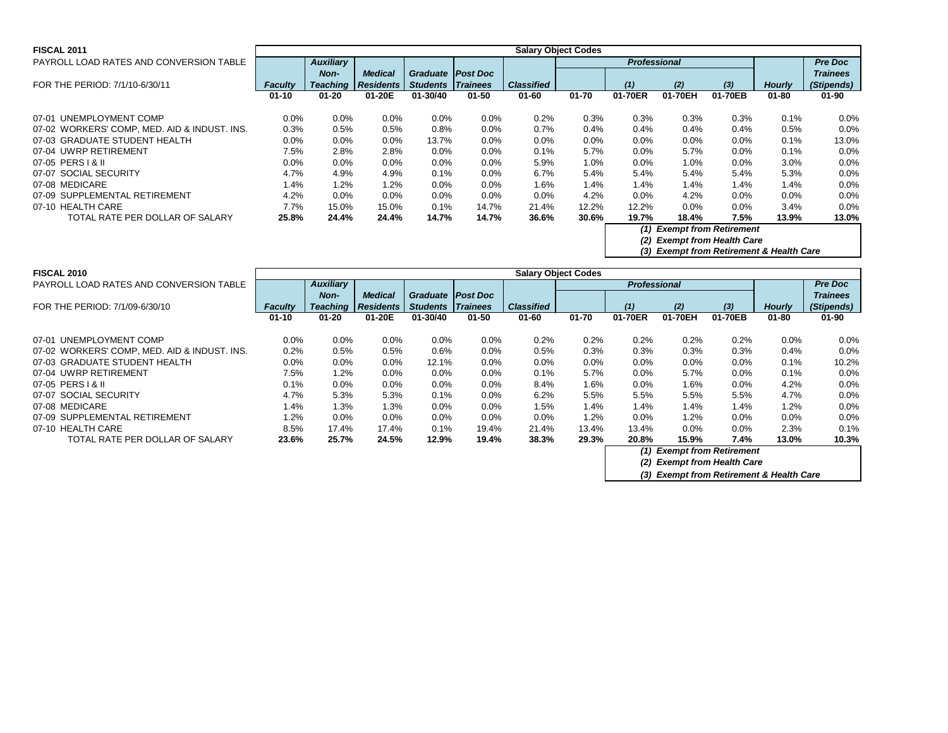| <b>FISCAL 2011</b>                           | <b>Salary Object Codes</b> |                  |                  |                            |           |                   |           |                                       |         |         |               |                 |  |  |
|----------------------------------------------|----------------------------|------------------|------------------|----------------------------|-----------|-------------------|-----------|---------------------------------------|---------|---------|---------------|-----------------|--|--|
| PAYROLL LOAD RATES AND CONVERSION TABLE      |                            | <b>Auxiliary</b> |                  |                            |           |                   |           | <b>Professional</b>                   |         |         |               | <b>Pre Doc</b>  |  |  |
|                                              |                            | Non-             | <b>Medical</b>   | <b>Graduate   Post Doc</b> |           |                   |           |                                       |         |         |               | <b>Trainees</b> |  |  |
| FOR THE PERIOD: 7/1/10-6/30/11               | <b>Faculty</b>             | <b>Teaching</b>  | <b>Residents</b> | <b>Students Trainees</b>   |           | <b>Classified</b> |           | (1)                                   | (2)     | $(3)$   | <b>Hourly</b> | (Stipends)      |  |  |
|                                              | $01 - 10$                  | $01 - 20$        | 01-20E           | 01-30/40                   | $01 - 50$ | $01 - 60$         | $01 - 70$ | 01-70ER                               | 01-70EH | 01-70EB | $01 - 80$     | $01 - 90$       |  |  |
|                                              |                            |                  |                  |                            |           |                   |           |                                       |         |         |               |                 |  |  |
| 07-01 UNEMPLOYMENT COMP                      | $0.0\%$                    | $0.0\%$          | $0.0\%$          | $0.0\%$                    | $0.0\%$   | 0.2%              | 0.3%      | 0.3%                                  | 0.3%    | 0.3%    | 0.1%          | 0.0%            |  |  |
| 07-02 WORKERS' COMP, MED. AID & INDUST. INS. | 0.3%                       | 0.5%             | 0.5%             | $0.8\%$                    | $0.0\%$   | 0.7%              | 0.4%      | $0.4\%$                               | 0.4%    | 0.4%    | 0.5%          | 0.0%            |  |  |
| 07-03 GRADUATE STUDENT HEALTH                | $0.0\%$                    | 0.0%             | $0.0\%$          | 13.7%                      | $0.0\%$   | $0.0\%$           | 0.0%      | $0.0\%$                               | $0.0\%$ | $0.0\%$ | 0.1%          | 13.0%           |  |  |
| 07-04 UWRP RETIREMENT                        | 7.5%                       | 2.8%             | 2.8%             | $0.0\%$                    | 0.0%      | 0.1%              | 5.7%      | $0.0\%$                               | 5.7%    | $0.0\%$ | 0.1%          | 0.0%            |  |  |
| 07-05 PERS   & II                            | $0.0\%$                    | $0.0\%$          | $0.0\%$          | $0.0\%$                    | $0.0\%$   | 5.9%              | $1.0\%$   | $0.0\%$                               | 1.0%    | $0.0\%$ | 3.0%          | 0.0%            |  |  |
| 07-07 SOCIAL SECURITY                        | 4.7%                       | 4.9%             | 4.9%             | 0.1%                       | $0.0\%$   | 6.7%              | 5.4%      | 5.4%                                  | 5.4%    | 5.4%    | 5.3%          | 0.0%            |  |  |
| 07-08 MEDICARE                               | 1.4%                       | 1.2%             | 1.2%             | $0.0\%$                    | $0.0\%$   | $1.6\%$           | 1.4%      | $1.4\%$                               | 1.4%    | 1.4%    | $1.4\%$       | 0.0%            |  |  |
| 07-09 SUPPLEMENTAL RETIREMENT                | 4.2%                       | $0.0\%$          | $0.0\%$          | $0.0\%$                    | 0.0%      | $0.0\%$           | 4.2%      | $0.0\%$                               | 4.2%    | $0.0\%$ | 0.0%          | 0.0%            |  |  |
| 07-10 HEALTH CARE                            | 7.7%                       | 15.0%            | 15.0%            | $0.1\%$                    | 14.7%     | 21.4%             | 12.2%     | 12.2%                                 | $0.0\%$ | 0.0%    | 3.4%          | 0.0%            |  |  |
| TOTAL RATE PER DOLLAR OF SALARY              | 25.8%                      | 24.4%            | 24.4%            | 14.7%                      | 14.7%     | 36.6%             | 30.6%     | 19.7%                                 | 18.4%   | 7.5%    | 13.9%         | 13.0%           |  |  |
|                                              |                            |                  |                  |                            |           |                   |           | <b>Exempt from Retirement</b><br>(1)  |         |         |               |                 |  |  |
|                                              |                            |                  |                  |                            |           |                   |           | <b>Exempt from Health Care</b><br>(2) |         |         |               |                 |  |  |

*(3) Exempt from Retirement & Health Care*

| <b>FISCAL 2010</b>                           | <b>Salary Object Codes</b> |                  |                  |                          |           |                   |           |                            |         |                             |               |                 |  |
|----------------------------------------------|----------------------------|------------------|------------------|--------------------------|-----------|-------------------|-----------|----------------------------|---------|-----------------------------|---------------|-----------------|--|
| PAYROLL LOAD RATES AND CONVERSION TABLE      |                            | <b>Auxiliary</b> |                  |                          |           |                   |           | <b>Professional</b>        |         |                             |               | <b>Pre Doc</b>  |  |
|                                              |                            | <b>Non-</b>      | <b>Medical</b>   | Graduate Post Doc        |           |                   |           |                            |         |                             |               | <b>Trainees</b> |  |
| FOR THE PERIOD: 7/1/09-6/30/10               | <b>Faculty</b>             | <b>Teaching</b>  | <b>Residents</b> | <b>Students Trainees</b> |           | <b>Classified</b> |           | (1)                        | (2)     | $(3)$                       | <b>Hourly</b> | (Stipends)      |  |
|                                              | $01 - 10$                  | $01 - 20$        | 01-20E           | $01 - 30/40$             | $01 - 50$ | $01 - 60$         | $01 - 70$ | 01-70ER                    | 01-70EH | 01-70EB                     | $01 - 80$     | $01 - 90$       |  |
| 07-01 UNEMPLOYMENT COMP                      | 0.0%                       | 0.0%             | 0.0%             | 0.0%                     | $0.0\%$   | 0.2%              | 0.2%      | 0.2%                       | 0.2%    | 0.2%                        | $0.0\%$       | 0.0%            |  |
| 07-02 WORKERS' COMP, MED. AID & INDUST. INS. | 0.2%                       | 0.5%             | 0.5%             | 0.6%                     | $0.0\%$   | 0.5%              | 0.3%      | 0.3%                       | 0.3%    | 0.3%                        | 0.4%          | 0.0%            |  |
| 07-03 GRADUATE STUDENT HEALTH                | 0.0%                       | 0.0%             | $0.0\%$          | 12.1%                    | $0.0\%$   | 0.0%              | $0.0\%$   | $0.0\%$                    | $0.0\%$ | $0.0\%$                     | 0.1%          | 10.2%           |  |
| 07-04 UWRP RETIREMENT                        | 7.5%                       | 1.2%             | $0.0\%$          | $0.0\%$                  | $0.0\%$   | 0.1%              | 5.7%      | $0.0\%$                    | 5.7%    | $0.0\%$                     | 0.1%          | 0.0%            |  |
| 07-05 PERS   & II                            | 0.1%                       | 0.0%             | $0.0\%$          | 0.0%                     | $0.0\%$   | 8.4%              | $1.6\%$   | 0.0%                       | 1.6%    | $0.0\%$                     | 4.2%          | 0.0%            |  |
| 07-07 SOCIAL SECURITY                        | 4.7%                       | 5.3%             | 5.3%             | 0.1%                     | $0.0\%$   | 6.2%              | 5.5%      | 5.5%                       | 5.5%    | 5.5%                        | 4.7%          | 0.0%            |  |
| 07-08 MEDICARE                               | 1.4%                       | 1.3%             | 1.3%             | 0.0%                     | 0.0%      | 1.5%              | 1.4%      | 1.4%                       | 1.4%    | 1.4%                        | 1.2%          | 0.0%            |  |
| 07-09 SUPPLEMENTAL RETIREMENT                | 1.2%                       | 0.0%             | $0.0\%$          | $0.0\%$                  | $0.0\%$   | 0.0%              | 1.2%      | $0.0\%$                    | 1.2%    | $0.0\%$                     | $0.0\%$       | 0.0%            |  |
| 07-10 HEALTH CARE                            | 8.5%                       | 17.4%            | 17.4%            | 0.1%                     | 19.4%     | 21.4%             | 13.4%     | 13.4%                      | $0.0\%$ | $0.0\%$                     | 2.3%          | 0.1%            |  |
| TOTAL RATE PER DOLLAR OF SALARY              | 23.6%                      | 25.7%            | 24.5%            | 12.9%                    | 19.4%     | 38.3%             | 29.3%     | 20.8%                      | 15.9%   | 7.4%                        | 13.0%         | 10.3%           |  |
|                                              |                            |                  |                  |                          |           |                   |           | (1) Exempt from Retirement |         |                             |               |                 |  |
|                                              |                            |                  |                  |                          |           |                   |           |                            |         | (2) Exempt from Health Care |               |                 |  |

*(3) Exempt from Retirement & Health Care*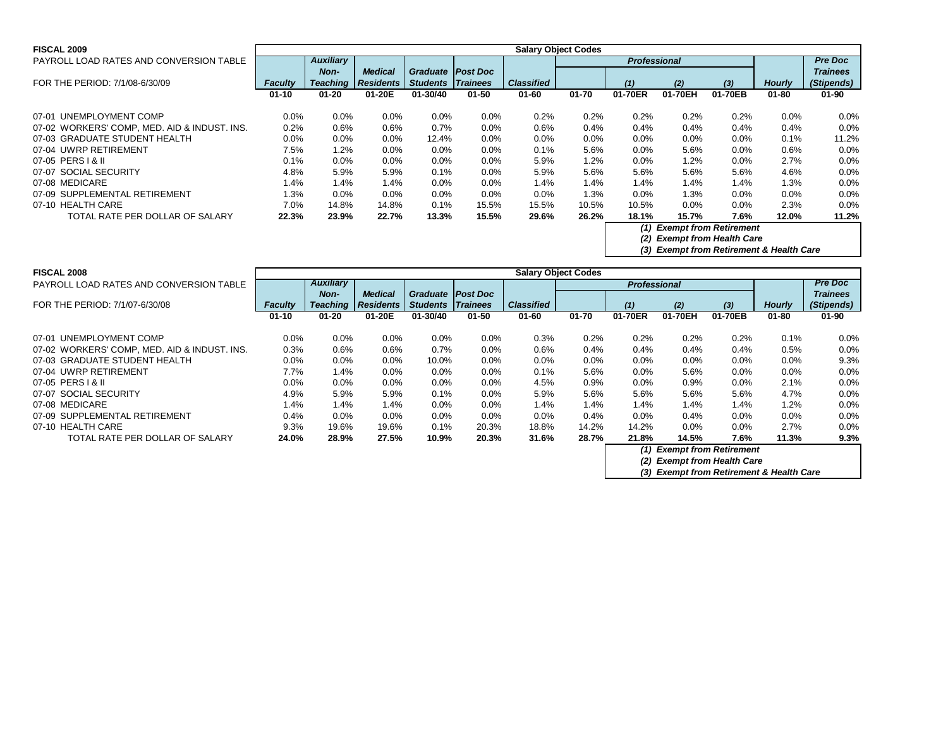| <b>FISCAL 2009</b>                           |                | <b>Salary Object Codes</b> |                  |                          |           |                   |           |                            |         |                             |               |                 |  |
|----------------------------------------------|----------------|----------------------------|------------------|--------------------------|-----------|-------------------|-----------|----------------------------|---------|-----------------------------|---------------|-----------------|--|
| PAYROLL LOAD RATES AND CONVERSION TABLE      |                | <b>Auxiliary</b>           |                  |                          |           |                   |           | <b>Professional</b>        |         |                             |               | <b>Pre Doc</b>  |  |
|                                              |                | Non-                       | <b>Medical</b>   | Graduate   Post Doc      |           |                   |           |                            |         |                             |               | <b>Trainees</b> |  |
| FOR THE PERIOD: 7/1/08-6/30/09               | <b>Faculty</b> | <b>Teaching</b>            | <b>Residents</b> | <b>Students Trainees</b> |           | <b>Classified</b> |           | (1)                        | (2)     | $(3)$                       | <b>Hourly</b> | (Stipends)      |  |
|                                              | $01 - 10$      | $01 - 20$                  | 01-20E           | 01-30/40                 | $01 - 50$ | $01 - 60$         | $01 - 70$ | 01-70ER                    | 01-70EH | 01-70EB                     | $01 - 80$     | $01 - 90$       |  |
| 07-01 UNEMPLOYMENT COMP                      | 0.0%           | 0.0%                       | 0.0%             | $0.0\%$                  | 0.0%      | 0.2%              | 0.2%      | 0.2%                       | 0.2%    | 0.2%                        | 0.0%          | $0.0\%$         |  |
| 07-02 WORKERS' COMP, MED. AID & INDUST. INS. | 0.2%           | 0.6%                       | 0.6%             | 0.7%                     | 0.0%      | 0.6%              | 0.4%      | $0.4\%$                    | 0.4%    | 0.4%                        | 0.4%          | $0.0\%$         |  |
| 07-03 GRADUATE STUDENT HEALTH                | $0.0\%$        | 0.0%                       | $0.0\%$          | 12.4%                    | $0.0\%$   | 0.0%              | 0.0%      | $0.0\%$                    | $0.0\%$ | 0.0%                        | 0.1%          | 11.2%           |  |
| 07-04 UWRP RETIREMENT                        | 7.5%           | 1.2%                       | $0.0\%$          | $0.0\%$                  | $0.0\%$   | 0.1%              | 5.6%      | $0.0\%$                    | 5.6%    | 0.0%                        | $0.6\%$       | $0.0\%$         |  |
| 07-05 PERS   & II                            | 0.1%           | 0.0%                       | 0.0%             | 0.0%                     | 0.0%      | 5.9%              | 1.2%      | $0.0\%$                    | 1.2%    | 0.0%                        | 2.7%          | 0.0%            |  |
| 07-07 SOCIAL SECURITY                        | 4.8%           | 5.9%                       | 5.9%             | 0.1%                     | 0.0%      | 5.9%              | 5.6%      | 5.6%                       | 5.6%    | 5.6%                        | 4.6%          | $0.0\%$         |  |
| 07-08 MEDICARE                               | 1.4%           | 1.4%                       | 1.4%             | $0.0\%$                  | $0.0\%$   | 1.4%              | 1.4%      | 1.4%                       | 1.4%    | 1.4%                        | 1.3%          | $0.0\%$         |  |
| 07-09 SUPPLEMENTAL RETIREMENT                | 1.3%           | $0.0\%$                    | $0.0\%$          | $0.0\%$                  | $0.0\%$   | 0.0%              | 1.3%      | $0.0\%$                    | $1.3\%$ | 0.0%                        | $0.0\%$       | $0.0\%$         |  |
| 07-10 HEALTH CARE                            | 7.0%           | 14.8%                      | 14.8%            | $0.1\%$                  | 15.5%     | 15.5%             | 10.5%     | 10.5%                      | $0.0\%$ | 0.0%                        | 2.3%          | $0.0\%$         |  |
| TOTAL RATE PER DOLLAR OF SALARY              | 22.3%          | 23.9%                      | 22.7%            | 13.3%                    | 15.5%     | 29.6%             | 26.2%     | 18.1%                      | 15.7%   | 7.6%                        | 12.0%         | 11.2%           |  |
|                                              |                |                            |                  |                          |           |                   |           | (1) Exempt from Retirement |         |                             |               |                 |  |
|                                              |                |                            |                  |                          |           |                   |           |                            |         | (2) Exempt from Health Care |               |                 |  |

*(3) Exempt from Retirement & Health Care*

*(3) Exempt from Retirement & Health Care*

| <b>FISCAL 2008</b>                           |                | <b>Salary Object Codes</b> |                  |                            |           |                   |           |                            |                             |         |               |                 |  |
|----------------------------------------------|----------------|----------------------------|------------------|----------------------------|-----------|-------------------|-----------|----------------------------|-----------------------------|---------|---------------|-----------------|--|
| PAYROLL LOAD RATES AND CONVERSION TABLE      |                | <b>Auxiliary</b>           |                  |                            |           |                   |           | <b>Professional</b>        |                             |         |               | <b>Pre Doc</b>  |  |
|                                              |                | <b>Non-</b>                | <b>Medical</b>   | <b>Graduate   Post Doc</b> |           |                   |           |                            |                             |         |               | <b>Trainees</b> |  |
| FOR THE PERIOD: 7/1/07-6/30/08               | <b>Faculty</b> | <b>Teaching</b>            | <b>Residents</b> | <b>Students Trainees</b>   |           | <b>Classified</b> |           | (1)                        | (2)                         | $(3)$   | <b>Hourly</b> | (Stipends)      |  |
|                                              | $01 - 10$      | $01 - 20$                  | 01-20E           | 01-30/40                   | $01 - 50$ | $01 - 60$         | $01 - 70$ | 01-70ER                    | 01-70EH                     | 01-70EB | $01 - 80$     | $01 - 90$       |  |
| 07-01 UNEMPLOYMENT COMP                      | $0.0\%$        | $0.0\%$                    | 0.0%             | 0.0%                       | $0.0\%$   | 0.3%              | 0.2%      | 0.2%                       | 0.2%                        | 0.2%    | 0.1%          | $0.0\%$         |  |
| 07-02 WORKERS' COMP, MED. AID & INDUST. INS. | 0.3%           | 0.6%                       | 0.6%             | 0.7%                       | $0.0\%$   | 0.6%              | 0.4%      | 0.4%                       | 0.4%                        | 0.4%    | 0.5%          | $0.0\%$         |  |
| 07-03 GRADUATE STUDENT HEALTH                | $0.0\%$        | $0.0\%$                    | 0.0%             | 10.0%                      | $0.0\%$   | 0.0%              | 0.0%      | 0.0%                       | $0.0\%$                     | $0.0\%$ | 0.0%          | 9.3%            |  |
| 07-04 UWRP RETIREMENT                        | 7.7%           | 1.4%                       | 0.0%             | 0.0%                       | 0.0%      | 0.1%              | 5.6%      | 0.0%                       | 5.6%                        | $0.0\%$ | 0.0%          | 0.0%            |  |
| 07-05 PERS   & II                            | 0.0%           | 0.0%                       | 0.0%             | 0.0%                       | $0.0\%$   | 4.5%              | 0.9%      | 0.0%                       | $0.9\%$                     | $0.0\%$ | 2.1%          | 0.0%            |  |
| 07-07 SOCIAL SECURITY                        | 4.9%           | 5.9%                       | 5.9%             | 0.1%                       | $0.0\%$   | 5.9%              | 5.6%      | 5.6%                       | 5.6%                        | 5.6%    | 4.7%          | 0.0%            |  |
| 07-08 MEDICARE                               | 1.4%           | 1.4%                       | 1.4%             | $0.0\%$                    | $0.0\%$   | 1.4%              | 1.4%      | 1.4%                       | 1.4%                        | 1.4%    | 1.2%          | $0.0\%$         |  |
| 07-09 SUPPLEMENTAL RETIREMENT                | 0.4%           | 0.0%                       | 0.0%             | $0.0\%$                    | $0.0\%$   | $0.0\%$           | 0.4%      | $0.0\%$                    | 0.4%                        | $0.0\%$ | 0.0%          | $0.0\%$         |  |
| 07-10 HEALTH CARE                            | 9.3%           | 19.6%                      | 19.6%            | $0.1\%$                    | 20.3%     | 18.8%             | 14.2%     | 14.2%                      | $0.0\%$                     | $0.0\%$ | 2.7%          | $0.0\%$         |  |
| TOTAL RATE PER DOLLAR OF SALARY              | 24.0%          | 28.9%                      | 27.5%            | 10.9%                      | 20.3%     | 31.6%             | 28.7%     | 21.8%                      | 14.5%                       | 7.6%    | 11.3%         | 9.3%            |  |
|                                              |                |                            |                  |                            |           |                   |           | (1) Exempt from Retirement |                             |         |               |                 |  |
|                                              |                |                            |                  |                            |           |                   |           |                            | (2) Exempt from Health Care |         |               |                 |  |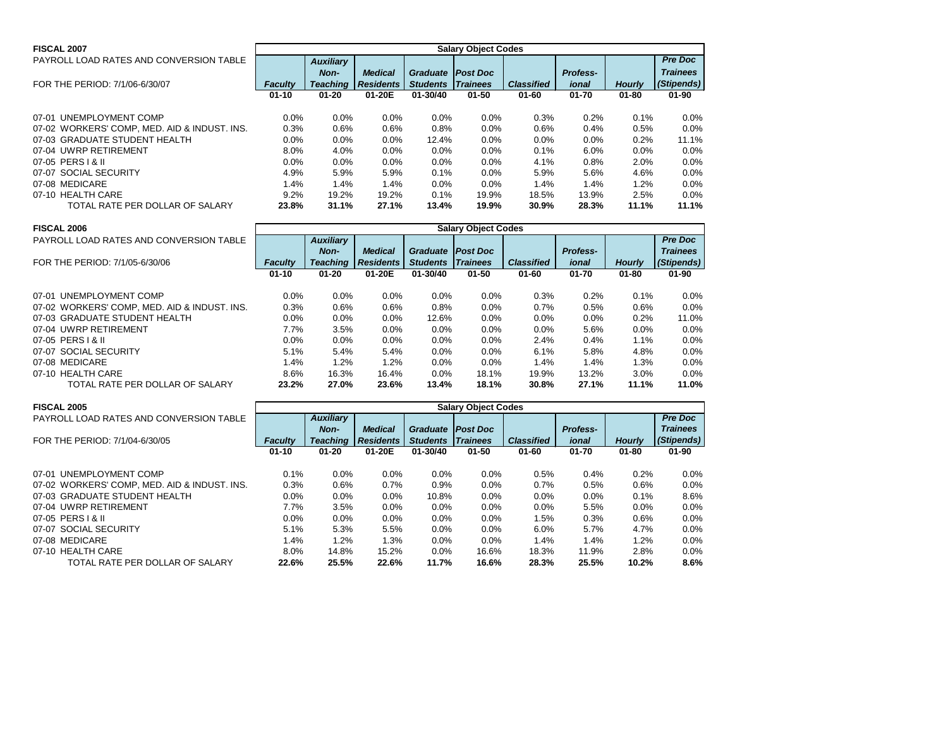| <b>FISCAL 2007</b>                           |                |                  |                  |                          | <b>Salary Object Codes</b> |                   |                 |               |                 |
|----------------------------------------------|----------------|------------------|------------------|--------------------------|----------------------------|-------------------|-----------------|---------------|-----------------|
| PAYROLL LOAD RATES AND CONVERSION TABLE      |                | <b>Auxiliary</b> |                  |                          |                            |                   |                 |               | <b>Pre Doc</b>  |
|                                              |                | Non-             | <b>Medical</b>   | <b>Graduate Post Doc</b> |                            |                   | <b>Profess-</b> |               | <b>Trainees</b> |
| FOR THE PERIOD: 7/1/06-6/30/07               | <b>Faculty</b> | <b>Teaching</b>  | <b>Residents</b> | <b>Students</b>          | <b>Trainees</b>            | <b>Classified</b> | ional           | <b>Hourly</b> | (Stipends)      |
|                                              | $01 - 10$      | $01 - 20$        | 01-20E           | 01-30/40                 | $01 - 50$                  | $01 - 60$         | $01 - 70$       | $01 - 80$     | $01 - 90$       |
| 07-01 UNEMPLOYMENT COMP                      | $0.0\%$        | $0.0\%$          | 0.0%             | $0.0\%$                  | $0.0\%$                    | 0.3%              | 0.2%            | 0.1%          | 0.0%            |
| 07-02 WORKERS' COMP, MED. AID & INDUST. INS. | 0.3%           | 0.6%             | 0.6%             | 0.8%                     | $0.0\%$                    | 0.6%              | 0.4%            | 0.5%          | 0.0%            |
| 07-03 GRADUATE STUDENT HEALTH                | $0.0\%$        | $0.0\%$          | 0.0%             | 12.4%                    | $0.0\%$                    | $0.0\%$           | $0.0\%$         | 0.2%          | 11.1%           |
| 07-04 UWRP RETIREMENT                        | 8.0%           | 4.0%             | 0.0%             | $0.0\%$                  | $0.0\%$                    | 0.1%              | 6.0%            | 0.0%          | 0.0%            |
| 07-05 PERS   & II                            | $0.0\%$        | 0.0%             | 0.0%             | 0.0%                     | $0.0\%$                    | 4.1%              | 0.8%            | 2.0%          | 0.0%            |
| 07-07 SOCIAL SECURITY                        | 4.9%           | 5.9%             | 5.9%             | 0.1%                     | 0.0%                       | 5.9%              | 5.6%            | 4.6%          | 0.0%            |
| 07-08 MEDICARE                               | 1.4%           | 1.4%             | 1.4%             | 0.0%                     | $0.0\%$                    | 1.4%              | 1.4%            | 1.2%          | 0.0%            |
| 07-10 HEALTH CARE                            | 9.2%           | 19.2%            | 19.2%            | $0.1\%$                  | 19.9%                      | 18.5%             | 13.9%           | 2.5%          | 0.0%            |
| TOTAL RATE PER DOLLAR OF SALARY              | 23.8%          | 31.1%            | 27.1%            | 13.4%                    | 19.9%                      | 30.9%             | 28.3%           | 11.1%         | 11.1%           |

| <b>FISCAL 2006</b>                           |                | <b>Salary Object Codes</b> |                  |                 |                 |                   |                 |               |                 |  |  |  |
|----------------------------------------------|----------------|----------------------------|------------------|-----------------|-----------------|-------------------|-----------------|---------------|-----------------|--|--|--|
| PAYROLL LOAD RATES AND CONVERSION TABLE      |                | <b>Auxiliary</b>           |                  |                 |                 |                   |                 |               | <b>Pre Doc</b>  |  |  |  |
|                                              |                | Non-                       | <b>Medical</b>   | <b>Graduate</b> | <b>Post Doc</b> |                   | <b>Profess-</b> |               | <b>Trainees</b> |  |  |  |
| FOR THE PERIOD: 7/1/05-6/30/06               | <b>Faculty</b> | <b>Teaching</b>            | <b>Residents</b> | <b>Students</b> | <b>Trainees</b> | <b>Classified</b> | ional           | <b>Hourly</b> | (Stipends)      |  |  |  |
|                                              | $01 - 10$      | $01 - 20$                  | 01-20E           | 01-30/40        | 01-50           | $01 - 60$         | $01 - 70$       | $01 - 80$     | $01 - 90$       |  |  |  |
|                                              |                |                            |                  |                 |                 |                   |                 |               |                 |  |  |  |
| 07-01 UNEMPLOYMENT COMP                      | $0.0\%$        | $0.0\%$                    | $0.0\%$          | $0.0\%$         | $0.0\%$         | 0.3%              | 0.2%            | 0.1%          | $0.0\%$         |  |  |  |
| 07-02 WORKERS' COMP, MED. AID & INDUST. INS. | 0.3%           | 0.6%                       | 0.6%             | 0.8%            | $0.0\%$         | 0.7%              | 0.5%            | 0.6%          | $0.0\%$         |  |  |  |
| 07-03 GRADUATE STUDENT HEALTH                | 0.0%           | $0.0\%$                    | $0.0\%$          | 12.6%           | $0.0\%$         | $0.0\%$           | $0.0\%$         | 0.2%          | 11.0%           |  |  |  |
| 07-04 UWRP RETIREMENT                        | 7.7%           | 3.5%                       | $0.0\%$          | $0.0\%$         | $0.0\%$         | 0.0%              | 5.6%            | 0.0%          | $0.0\%$         |  |  |  |
| 07-05 PERS   & II                            | $0.0\%$        | $0.0\%$                    | $0.0\%$          | $0.0\%$         | $0.0\%$         | 2.4%              | 0.4%            | 1.1%          | $0.0\%$         |  |  |  |
| 07-07 SOCIAL SECURITY                        | 5.1%           | 5.4%                       | 5.4%             | $0.0\%$         | $0.0\%$         | 6.1%              | 5.8%            | 4.8%          | $0.0\%$         |  |  |  |
| 07-08 MEDICARE                               | 1.4%           | 1.2%                       | 1.2%             | $0.0\%$         | $0.0\%$         | 1.4%              | 1.4%            | 1.3%          | $0.0\%$         |  |  |  |
| 07-10 HEALTH CARE                            | 8.6%           | 16.3%                      | 16.4%            | $0.0\%$         | 18.1%           | 19.9%             | 13.2%           | 3.0%          | $0.0\%$         |  |  |  |
| TOTAL RATE PER DOLLAR OF SALARY              | 23.2%          | 27.0%                      | 23.6%            | 13.4%           | 18.1%           | 30.8%             | 27.1%           | 11.1%         | 11.0%           |  |  |  |

| <b>FISCAL 2005</b>                           | <b>Salary Object Codes</b> |                  |                  |                 |                 |                   |                 |               |                 |  |  |
|----------------------------------------------|----------------------------|------------------|------------------|-----------------|-----------------|-------------------|-----------------|---------------|-----------------|--|--|
| PAYROLL LOAD RATES AND CONVERSION TABLE      |                            | <b>Auxiliary</b> |                  |                 |                 |                   |                 |               | <b>Pre Doc</b>  |  |  |
|                                              |                            | Non-             | <b>Medical</b>   | <b>Graduate</b> | <b>Post Doc</b> |                   | <b>Profess-</b> |               | <b>Trainees</b> |  |  |
| FOR THE PERIOD: 7/1/04-6/30/05               | <b>Faculty</b>             | <b>Teaching</b>  | <b>Residents</b> | <b>Students</b> | <b>Trainees</b> | <b>Classified</b> | ional           | <b>Hourly</b> | (Stipends)      |  |  |
|                                              | $01 - 10$                  | $01 - 20$        | 01-20E           | 01-30/40        | $01 - 50$       | 01-60             | $01 - 70$       | $01 - 80$     | $01 - 90$       |  |  |
| 07-01 UNEMPLOYMENT COMP                      | 0.1%                       | 0.0%             | $0.0\%$          | 0.0%            | 0.0%            | 0.5%              | 0.4%            | 0.2%          | $0.0\%$         |  |  |
| 07-02 WORKERS' COMP, MED. AID & INDUST. INS. | 0.3%                       | 0.6%             | 0.7%             | 0.9%            | 0.0%            | 0.7%              | 0.5%            | 0.6%          | $0.0\%$         |  |  |
| 07-03 GRADUATE STUDENT HEALTH                | $0.0\%$                    | $0.0\%$          | $0.0\%$          | 10.8%           | 0.0%            | 0.0%              | 0.0%            | 0.1%          | 8.6%            |  |  |
| 07-04 UWRP RETIREMENT                        | 7.7%                       | 3.5%             | $0.0\%$          | $0.0\%$         | $0.0\%$         | $0.0\%$           | 5.5%            | $0.0\%$       | $0.0\%$         |  |  |
| 07-05 PERS 1 & II                            | $0.0\%$                    | $0.0\%$          | $0.0\%$          | 0.0%            | $0.0\%$         | 1.5%              | 0.3%            | 0.6%          | $0.0\%$         |  |  |
| 07-07 SOCIAL SECURITY                        | 5.1%                       | 5.3%             | 5.5%             | $0.0\%$         | 0.0%            | 6.0%              | 5.7%            | 4.7%          | $0.0\%$         |  |  |
| 07-08 MEDICARE                               | 1.4%                       | 1.2%             | 1.3%             | 0.0%            | $0.0\%$         | 1.4%              | 1.4%            | 1.2%          | $0.0\%$         |  |  |
| 07-10 HEALTH CARE                            | 8.0%                       | 14.8%            | 15.2%            | 0.0%            | 16.6%           | 18.3%             | 11.9%           | 2.8%          | $0.0\%$         |  |  |
| TOTAL RATE PER DOLLAR OF SALARY              | 22.6%                      | 25.5%            | 22.6%            | 11.7%           | 16.6%           | 28.3%             | 25.5%           | 10.2%         | 8.6%            |  |  |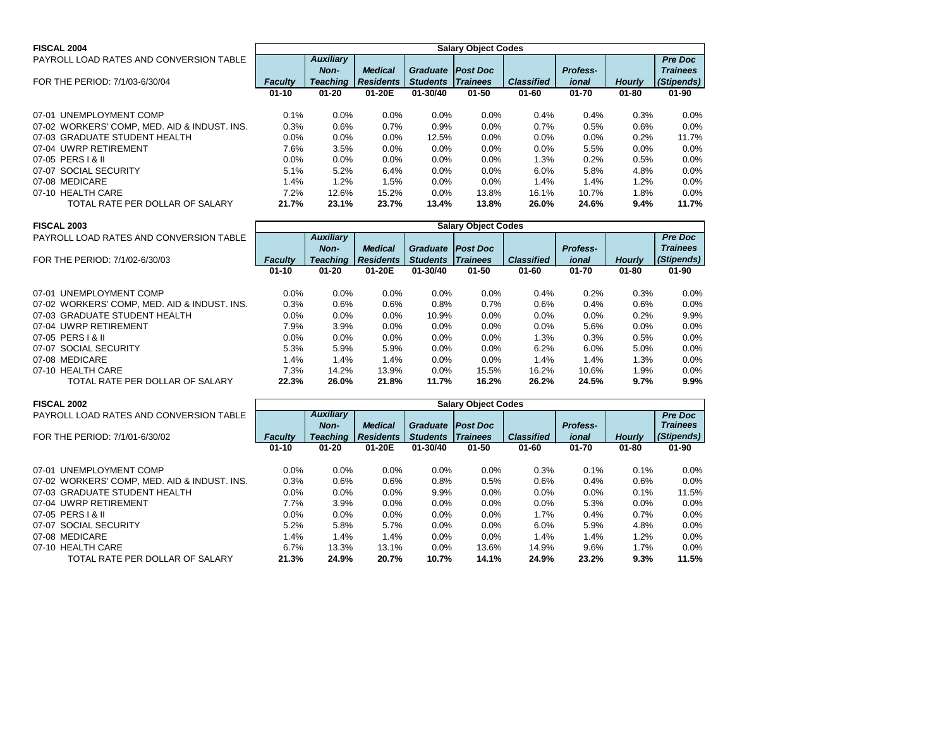| <b>FISCAL 2004</b>                           |                |                  |                  |                            | <b>Salary Object Codes</b> |                   |                 |               |                 |
|----------------------------------------------|----------------|------------------|------------------|----------------------------|----------------------------|-------------------|-----------------|---------------|-----------------|
| PAYROLL LOAD RATES AND CONVERSION TABLE      |                | <b>Auxiliary</b> |                  |                            |                            |                   |                 |               | <b>Pre Doc</b>  |
|                                              |                | Non-             | <b>Medical</b>   | <b>Graduate   Post Doc</b> |                            |                   | <b>Profess-</b> |               | <b>Trainees</b> |
| FOR THE PERIOD: 7/1/03-6/30/04               | <b>Faculty</b> | <b>Teaching</b>  | <b>Residents</b> | <b>Students</b>            | <b>Trainees</b>            | <b>Classified</b> | ional           | <b>Hourly</b> | (Stipends)      |
|                                              | $01 - 10$      | $01 - 20$        | 01-20E           | 01-30/40                   | $01 - 50$                  | $01 - 60$         | $01 - 70$       | $01 - 80$     | $01 - 90$       |
| 07-01 UNEMPLOYMENT COMP                      | 0.1%           | 0.0%             | 0.0%             | 0.0%                       | $0.0\%$                    | 0.4%              | 0.4%            | 0.3%          | 0.0%            |
| 07-02 WORKERS' COMP, MED. AID & INDUST. INS. | 0.3%           | 0.6%             | 0.7%             | 0.9%                       | $0.0\%$                    | 0.7%              | 0.5%            | 0.6%          | 0.0%            |
| 07-03 GRADUATE STUDENT HEALTH                | $0.0\%$        | $0.0\%$          | 0.0%             | 12.5%                      | $0.0\%$                    | $0.0\%$           | $0.0\%$         | 0.2%          | 11.7%           |
| 07-04 UWRP RETIREMENT                        | 7.6%           | 3.5%             | 0.0%             | $0.0\%$                    | $0.0\%$                    | $0.0\%$           | 5.5%            | $0.0\%$       | 0.0%            |
| 07-05 PERS   & II                            | 0.0%           | 0.0%             | 0.0%             | 0.0%                       | $0.0\%$                    | 1.3%              | 0.2%            | 0.5%          | 0.0%            |
| 07-07 SOCIAL SECURITY                        | 5.1%           | 5.2%             | 6.4%             | $0.0\%$                    | $0.0\%$                    | 6.0%              | 5.8%            | 4.8%          | 0.0%            |
| 07-08 MEDICARE                               | 1.4%           | 1.2%             | 1.5%             | $0.0\%$                    | $0.0\%$                    | $1.4\%$           | 1.4%            | 1.2%          | $0.0\%$         |
| 07-10 HEALTH CARE                            | 7.2%           | 12.6%            | 15.2%            | 0.0%                       | 13.8%                      | 16.1%             | 10.7%           | 1.8%          | 0.0%            |
| TOTAL RATE PER DOLLAR OF SALARY              | 21.7%          | 23.1%            | 23.7%            | 13.4%                      | 13.8%                      | 26.0%             | 24.6%           | 9.4%          | 11.7%           |

| <b>FISCAL 2003</b>                           | <b>Salary Object Codes</b> |                  |                  |                 |                 |                   |                 |               |                 |  |  |  |
|----------------------------------------------|----------------------------|------------------|------------------|-----------------|-----------------|-------------------|-----------------|---------------|-----------------|--|--|--|
| PAYROLL LOAD RATES AND CONVERSION TABLE      |                            | <b>Auxiliary</b> |                  |                 |                 |                   |                 |               | <b>Pre Doc</b>  |  |  |  |
|                                              |                            | Non-             | <b>Medical</b>   | <b>Graduate</b> | <b>Post Doc</b> |                   | <b>Profess-</b> |               | <b>Trainees</b> |  |  |  |
| FOR THE PERIOD: 7/1/02-6/30/03               | <b>Faculty</b>             | <b>Teaching</b>  | <b>Residents</b> | <b>Students</b> | <b>Trainees</b> | <b>Classified</b> | ional           | <b>Hourly</b> | (Stipends)      |  |  |  |
|                                              | $01 - 10$                  | $01 - 20$        | 01-20E           | 01-30/40        | $01 - 50$       | $01 - 60$         | $01 - 70$       | $01 - 80$     | $01 - 90$       |  |  |  |
| 07-01 UNEMPLOYMENT COMP                      | $0.0\%$                    | $0.0\%$          | $0.0\%$          | 0.0%            | $0.0\%$         | $0.4\%$           | 0.2%            | 0.3%          | $0.0\%$         |  |  |  |
| 07-02 WORKERS' COMP, MED. AID & INDUST. INS. | 0.3%                       | $0.6\%$          | 0.6%             | 0.8%            | 0.7%            | 0.6%              | 0.4%            | 0.6%          | $0.0\%$         |  |  |  |
| 07-03 GRADUATE STUDENT HEALTH                | 0.0%                       | $0.0\%$          | $0.0\%$          | 10.9%           | 0.0%            | $0.0\%$           | $0.0\%$         | 0.2%          | 9.9%            |  |  |  |
| 07-04 UWRP RETIREMENT                        | 7.9%                       | 3.9%             | 0.0%             | $0.0\%$         | 0.0%            | 0.0%              | 5.6%            | $0.0\%$       | $0.0\%$         |  |  |  |
| 07-05 PERS   & II                            | $0.0\%$                    | $0.0\%$          | $0.0\%$          | $0.0\%$         | $0.0\%$         | 1.3%              | 0.3%            | 0.5%          | $0.0\%$         |  |  |  |
| 07-07 SOCIAL SECURITY                        | 5.3%                       | 5.9%             | 5.9%             | $0.0\%$         | $0.0\%$         | 6.2%              | 6.0%            | 5.0%          | $0.0\%$         |  |  |  |
| 07-08 MEDICARE                               | 1.4%                       | 1.4%             | 1.4%             | $0.0\%$         | $0.0\%$         | 1.4%              | 1.4%            | $1.3\%$       | $0.0\%$         |  |  |  |
| 07-10 HEALTH CARE                            | 7.3%                       | 14.2%            | 13.9%            | $0.0\%$         | 15.5%           | 16.2%             | 10.6%           | $1.9\%$       | $0.0\%$         |  |  |  |
|                                              |                            |                  |                  |                 |                 |                   |                 |               |                 |  |  |  |
| TOTAL RATE PER DOLLAR OF SALARY              | 22.3%                      | 26.0%            | 21.8%            | 11.7%           | 16.2%           | 26.2%             | 24.5%           | 9.7%          | $9.9\%$         |  |  |  |

| <b>FISCAL 2002</b>                           | <b>Salary Object Codes</b> |                  |                  |                 |                 |                   |                 |               |                 |  |  |
|----------------------------------------------|----------------------------|------------------|------------------|-----------------|-----------------|-------------------|-----------------|---------------|-----------------|--|--|
| PAYROLL LOAD RATES AND CONVERSION TABLE      |                            | <b>Auxiliary</b> |                  |                 |                 |                   |                 |               | <b>Pre Doc</b>  |  |  |
|                                              |                            | Non-             | <b>Medical</b>   | <b>Graduate</b> | <b>Post Doc</b> |                   | <b>Profess-</b> |               | <b>Trainees</b> |  |  |
| FOR THE PERIOD: 7/1/01-6/30/02               | <b>Faculty</b>             | <b>Teaching</b>  | <b>Residents</b> | <b>Students</b> | <i>Trainees</i> | <b>Classified</b> | ional           | <b>Hourly</b> | (Stipends)      |  |  |
|                                              | $01 - 10$                  | $01 - 20$        | 01-20E           | 01-30/40        | $01 - 50$       | $01 - 60$         | $01 - 70$       | $01 - 80$     | $01 - 90$       |  |  |
|                                              |                            |                  |                  |                 |                 |                   |                 |               |                 |  |  |
| 07-01 UNEMPLOYMENT COMP                      | $0.0\%$                    | 0.0%             | $0.0\%$          | 0.0%            | $0.0\%$         | 0.3%              | 0.1%            | $0.1\%$       | $0.0\%$         |  |  |
| 07-02 WORKERS' COMP, MED. AID & INDUST. INS. | 0.3%                       | $0.6\%$          | 0.6%             | 0.8%            | 0.5%            | 0.6%              | 0.4%            | 0.6%          | $0.0\%$         |  |  |
| 07-03 GRADUATE STUDENT HEALTH                | $0.0\%$                    | $0.0\%$          | 0.0%             | 9.9%            | 0.0%            | 0.0%              | 0.0%            | 0.1%          | 11.5%           |  |  |
| 07-04 UWRP RETIREMENT                        | 7.7%                       | 3.9%             | $0.0\%$          | $0.0\%$         | $0.0\%$         | $0.0\%$           | 5.3%            | $0.0\%$       | $0.0\%$         |  |  |
| 07-05 PERS 1 & II                            | 0.0%                       | $0.0\%$          | $0.0\%$          | 0.0%            | 0.0%            | 1.7%              | 0.4%            | 0.7%          | $0.0\%$         |  |  |
| 07-07 SOCIAL SECURITY                        | 5.2%                       | 5.8%             | 5.7%             | 0.0%            | 0.0%            | 6.0%              | 5.9%            | 4.8%          | $0.0\%$         |  |  |
| 07-08 MEDICARE                               | 1.4%                       | 1.4%             | 1.4%             | 0.0%            | 0.0%            | 1.4%              | 1.4%            | 1.2%          | $0.0\%$         |  |  |
| 07-10 HEALTH CARE                            | 6.7%                       | 13.3%            | 13.1%            | $0.0\%$         | 13.6%           | 14.9%             | 9.6%            | $1.7\%$       | $0.0\%$         |  |  |
| TOTAL RATE PER DOLLAR OF SALARY              | 21.3%                      | 24.9%            | 20.7%            | 10.7%           | 14.1%           | 24.9%             | 23.2%           | 9.3%          | 11.5%           |  |  |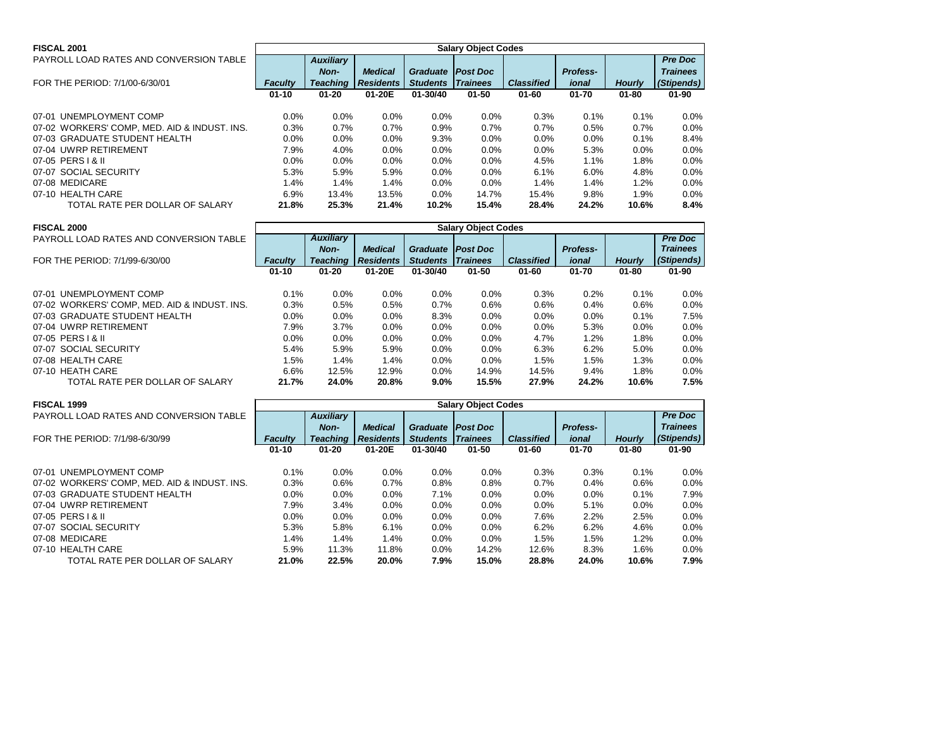|                                              | <b>Salary Object Codes</b> |                  |                  |                            |                 |                   |                 |               |                 |  |  |
|----------------------------------------------|----------------------------|------------------|------------------|----------------------------|-----------------|-------------------|-----------------|---------------|-----------------|--|--|
| <b>FISCAL 2001</b>                           |                            |                  |                  |                            |                 |                   |                 |               |                 |  |  |
| PAYROLL LOAD RATES AND CONVERSION TABLE      |                            | <b>Auxiliary</b> |                  |                            |                 |                   |                 |               | <b>Pre Doc</b>  |  |  |
|                                              |                            | Non-             | <b>Medical</b>   | <b>Graduate   Post Doc</b> |                 |                   | <b>Profess-</b> |               | <b>Trainees</b> |  |  |
| FOR THE PERIOD: 7/1/00-6/30/01               | <b>Faculty</b>             | <b>Teaching</b>  | <b>Residents</b> | <b>Students</b>            | <b>Trainees</b> | <b>Classified</b> | ional           | <b>Hourly</b> | (Stipends)      |  |  |
|                                              | $01 - 10$                  | $01 - 20$        | 01-20E           | 01-30/40                   | 01-50           | $01 - 60$         | 01-70           | $01 - 80$     | $01 - 90$       |  |  |
| 07-01 UNEMPLOYMENT COMP                      | 0.0%                       | 0.0%             | 0.0%             | $0.0\%$                    | $0.0\%$         | 0.3%              | 0.1%            | 0.1%          | 0.0%            |  |  |
| 07-02 WORKERS' COMP, MED. AID & INDUST. INS. | 0.3%                       | 0.7%             | 0.7%             | 0.9%                       | 0.7%            | 0.7%              | 0.5%            | 0.7%          | 0.0%            |  |  |
| 07-03 GRADUATE STUDENT HEALTH                | 0.0%                       | 0.0%             | 0.0%             | 9.3%                       | $0.0\%$         | $0.0\%$           | 0.0%            | 0.1%          | 8.4%            |  |  |
| 07-04 UWRP RETIREMENT                        | 7.9%                       | 4.0%             | 0.0%             | $0.0\%$                    | $0.0\%$         | $0.0\%$           | 5.3%            | 0.0%          | $0.0\%$         |  |  |
| 07-05 PERS   & II                            | 0.0%                       | 0.0%             | 0.0%             | $0.0\%$                    | $0.0\%$         | 4.5%              | 1.1%            | 1.8%          | 0.0%            |  |  |
| 07-07 SOCIAL SECURITY                        | 5.3%                       | 5.9%             | 5.9%             | $0.0\%$                    | $0.0\%$         | 6.1%              | 6.0%            | 4.8%          | 0.0%            |  |  |
| 07-08 MEDICARE                               | 1.4%                       | 1.4%             | 1.4%             | 0.0%                       | $0.0\%$         | $1.4\%$           | 1.4%            | 1.2%          | 0.0%            |  |  |
| 07-10 HEALTH CARE                            | 6.9%                       | 13.4%            | 13.5%            | 0.0%                       | 14.7%           | 15.4%             | 9.8%            | 1.9%          | 0.0%            |  |  |
| TOTAL RATE PER DOLLAR OF SALARY              | 21.8%                      | 25.3%            | 21.4%            | 10.2%                      | 15.4%           | 28.4%             | 24.2%           | 10.6%         | 8.4%            |  |  |

| <b>FISCAL 2000</b>                           | <b>Salary Object Codes</b> |                  |                  |                 |                 |                   |                 |               |                 |  |  |
|----------------------------------------------|----------------------------|------------------|------------------|-----------------|-----------------|-------------------|-----------------|---------------|-----------------|--|--|
| PAYROLL LOAD RATES AND CONVERSION TABLE      |                            | <b>Auxiliary</b> |                  |                 |                 |                   |                 |               | <b>Pre Doc</b>  |  |  |
|                                              |                            | Non-             | <b>Medical</b>   | <b>Graduate</b> | <b>Post Doc</b> |                   | <b>Profess-</b> |               | <b>Trainees</b> |  |  |
| FOR THE PERIOD: 7/1/99-6/30/00               | <b>Faculty</b>             | <b>Teaching</b>  | <b>Residents</b> | <b>Students</b> | <b>Trainees</b> | <b>Classified</b> | ional           | <b>Hourly</b> | (Stipends)      |  |  |
|                                              | $01 - 10$                  | $01 - 20$        | 01-20E           | $01 - 30/40$    | $01 - 50$       | $01 - 60$         | $01 - 70$       | $01 - 80$     | $01 - 90$       |  |  |
| 07-01 UNEMPLOYMENT COMP                      | 0.1%                       | 0.0%             | $0.0\%$          | $0.0\%$         | $0.0\%$         | 0.3%              | 0.2%            | 0.1%          | $0.0\%$         |  |  |
| 07-02 WORKERS' COMP, MED. AID & INDUST. INS. | 0.3%                       | 0.5%             | 0.5%             | 0.7%            | 0.6%            | 0.6%              | 0.4%            | 0.6%          | 0.0%            |  |  |
| 07-03 GRADUATE STUDENT HEALTH                | 0.0%                       | $0.0\%$          | 0.0%             | 8.3%            | 0.0%            | 0.0%              | 0.0%            | 0.1%          | 7.5%            |  |  |
| 07-04 UWRP RETIREMENT                        | 7.9%                       | 3.7%             | 0.0%             | 0.0%            | $0.0\%$         | $0.0\%$           | 5.3%            | 0.0%          | $0.0\%$         |  |  |
| 07-05 PERS   & II                            | $0.0\%$                    | $0.0\%$          | 0.0%             | $0.0\%$         | $0.0\%$         | 4.7%              | 1.2%            | 1.8%          | $0.0\%$         |  |  |
| 07-07 SOCIAL SECURITY                        | 5.4%                       | 5.9%             | 5.9%             | $0.0\%$         | 0.0%            | 6.3%              | 6.2%            | 5.0%          | $0.0\%$         |  |  |
| 07-08 HEALTH CARE                            | 1.5%                       | 1.4%             | 1.4%             | $0.0\%$         | 0.0%            | 1.5%              | 1.5%            | 1.3%          | $0.0\%$         |  |  |
| 07-10 HEATH CARE                             | 6.6%                       | 12.5%            | 12.9%            | $0.0\%$         | 14.9%           | 14.5%             | 9.4%            | 1.8%          | $0.0\%$         |  |  |
| TOTAL RATE PER DOLLAR OF SALARY              | 21.7%                      | 24.0%            | 20.8%            | 9.0%            | 15.5%           | 27.9%             | 24.2%           | 10.6%         | 7.5%            |  |  |

| <b>FISCAL 1999</b>                           | <b>Salary Object Codes</b> |                  |                  |                 |                 |                   |                 |               |                 |  |  |
|----------------------------------------------|----------------------------|------------------|------------------|-----------------|-----------------|-------------------|-----------------|---------------|-----------------|--|--|
| PAYROLL LOAD RATES AND CONVERSION TABLE      |                            | <b>Auxiliary</b> |                  |                 |                 |                   |                 |               | <b>Pre Doc</b>  |  |  |
|                                              |                            | Non-             | <b>Medical</b>   | <b>Graduate</b> | <b>Post Doc</b> |                   | <b>Profess-</b> |               | <b>Trainees</b> |  |  |
| FOR THE PERIOD: 7/1/98-6/30/99               | <b>Faculty</b>             | <b>Teaching</b>  | <b>Residents</b> | <b>Students</b> | <b>Trainees</b> | <b>Classified</b> | ional           | <b>Hourly</b> | (Stipends)      |  |  |
|                                              | $01 - 10$                  | $01 - 20$        | 01-20E           | $01 - 30/40$    | $01 - 50$       | $01 - 60$         | $01 - 70$       | $01 - 80$     | $01 - 90$       |  |  |
|                                              |                            |                  |                  |                 |                 |                   |                 |               |                 |  |  |
| 07-01 UNEMPLOYMENT COMP                      | 0.1%                       | $0.0\%$          | $0.0\%$          | $0.0\%$         | $0.0\%$         | 0.3%              | 0.3%            | $0.1\%$       | $0.0\%$         |  |  |
| 07-02 WORKERS' COMP, MED. AID & INDUST. INS. | 0.3%                       | 0.6%             | 0.7%             | 0.8%            | 0.8%            | 0.7%              | 0.4%            | 0.6%          | $0.0\%$         |  |  |
| 07-03 GRADUATE STUDENT HEALTH                | 0.0%                       | $0.0\%$          | 0.0%             | 7.1%            | 0.0%            | 0.0%              | 0.0%            | 0.1%          | 7.9%            |  |  |
| 07-04 UWRP RETIREMENT                        | 7.9%                       | 3.4%             | 0.0%             | $0.0\%$         | 0.0%            | 0.0%              | 5.1%            | 0.0%          | $0.0\%$         |  |  |
| 07-05 PERS   & II                            | 0.0%                       | 0.0%             | 0.0%             | $0.0\%$         | $0.0\%$         | 7.6%              | 2.2%            | 2.5%          | $0.0\%$         |  |  |
| 07-07 SOCIAL SECURITY                        | 5.3%                       | 5.8%             | 6.1%             | $0.0\%$         | $0.0\%$         | 6.2%              | 6.2%            | 4.6%          | $0.0\%$         |  |  |
| 07-08 MEDICARE                               | 1.4%                       | 1.4%             | 1.4%             | $0.0\%$         | 0.0%            | 1.5%              | 1.5%            | 1.2%          | $0.0\%$         |  |  |
| 07-10 HEALTH CARE                            | 5.9%                       | 11.3%            | 11.8%            | $0.0\%$         | 14.2%           | 12.6%             | 8.3%            | $1.6\%$       | $0.0\%$         |  |  |
| TOTAL RATE PER DOLLAR OF SALARY              | 21.0%                      | 22.5%            | 20.0%            | 7.9%            | 15.0%           | 28.8%             | 24.0%           | 10.6%         | 7.9%            |  |  |